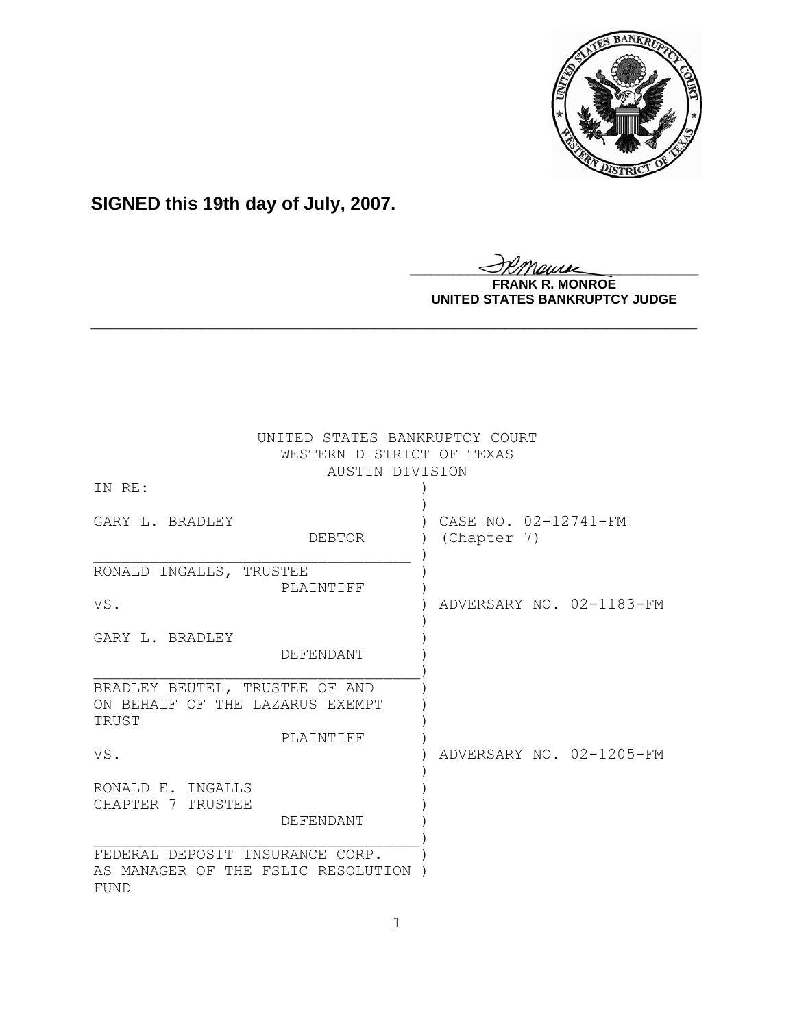

# **SIGNED this 19th day of July, 2007.**

<u>IKThemse</u>

**FRANK R. MONROE UNITED STATES BANKRUPTCY JUDGE**

| UNITED STATES BANKRUPTCY COURT<br>WESTERN DISTRICT OF TEXAS<br>AUSTIN DIVISION |                                     |  |
|--------------------------------------------------------------------------------|-------------------------------------|--|
| IN RE:                                                                         |                                     |  |
| GARY L. BRADLEY<br><b>DEBTOR</b>                                               | CASE NO. 02-12741-FM<br>(Chapter 7) |  |
| RONALD INGALLS, TRUSTEE                                                        |                                     |  |
| PLAINTIFF<br>VS.                                                               | ADVERSARY NO. 02-1183-FM            |  |
| GARY L. BRADLEY<br>DEFENDANT                                                   |                                     |  |
| BRADLEY BEUTEL, TRUSTEE OF AND<br>ON BEHALF OF THE LAZARUS EXEMPT<br>TRUST     |                                     |  |
| PLAINTIFF<br>VS.                                                               | ADVERSARY NO. 02-1205-FM            |  |
| RONALD E. INGALLS<br>CHAPTER 7 TRUSTEE                                         |                                     |  |
| DEFENDANT                                                                      |                                     |  |
| FEDERAL DEPOSIT INSURANCE CORP.<br>AS MANAGER OF THE FSLIC RESOLUTION<br>FUND  |                                     |  |

**\_\_\_\_\_\_\_\_\_\_\_\_\_\_\_\_\_\_\_\_\_\_\_\_\_\_\_\_\_\_\_\_\_\_\_\_\_\_\_\_\_\_\_\_\_\_\_\_\_\_\_\_\_\_\_\_\_\_\_\_**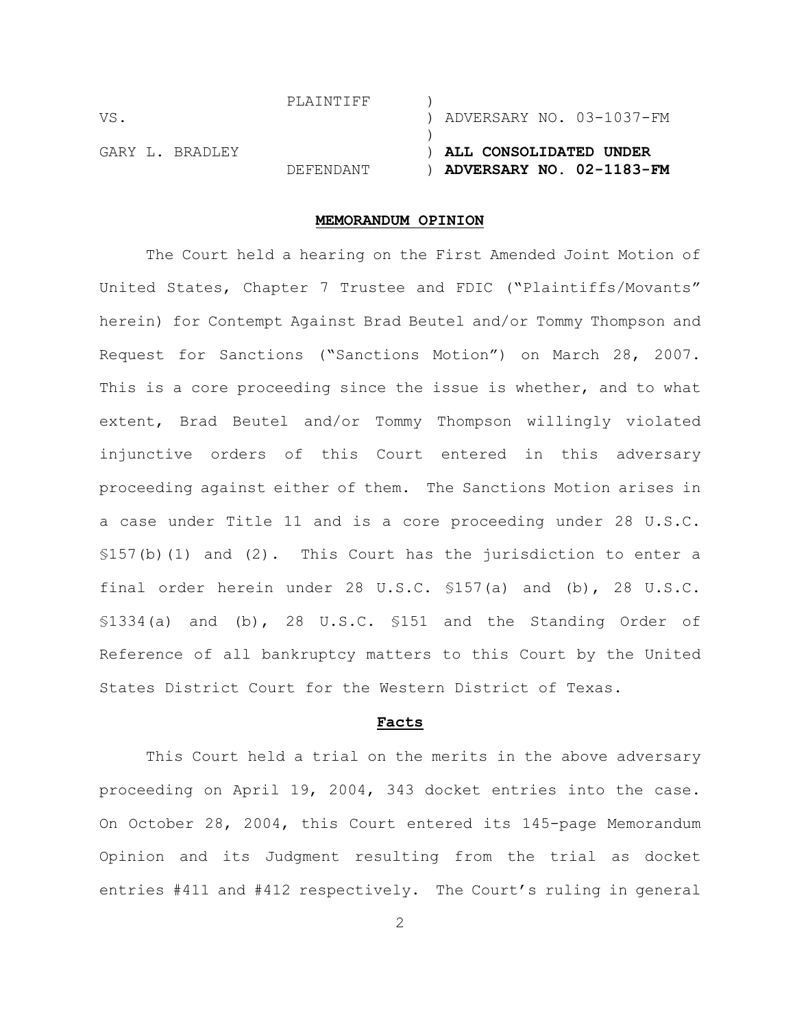| VS.             | PLAINTIFF | ) ADVERSARY NO. 03-1037-FM                           |
|-----------------|-----------|------------------------------------------------------|
| GARY L. BRADLEY | DEFENDANT | ) ALL CONSOLIDATED UNDER<br>ADVERSARY NO. 02-1183-FM |

## **MEMORANDUM OPINION**

The Court held a hearing on the First Amended Joint Motion of United States, Chapter 7 Trustee and FDIC ("Plaintiffs/Movants" herein) for Contempt Against Brad Beutel and/or Tommy Thompson and Request for Sanctions ("Sanctions Motion") on March 28, 2007. This is a core proceeding since the issue is whether, and to what extent, Brad Beutel and/or Tommy Thompson willingly violated injunctive orders of this Court entered in this adversary proceeding against either of them. The Sanctions Motion arises in a case under Title 11 and is a core proceeding under 28 U.S.C.  $$157(b)(1)$  and  $(2)$ . This Court has the jurisdiction to enter a final order herein under 28 U.S.C. §157(a) and (b), 28 U.S.C. §1334(a) and (b), 28 U.S.C. §151 and the Standing Order of Reference of all bankruptcy matters to this Court by the United States District Court for the Western District of Texas.

#### **Facts**

This Court held a trial on the merits in the above adversary proceeding on April 19, 2004, 343 docket entries into the case. On October 28, 2004, this Court entered its 145-page Memorandum Opinion and its Judgment resulting from the trial as docket entries #411 and #412 respectively. The Court's ruling in general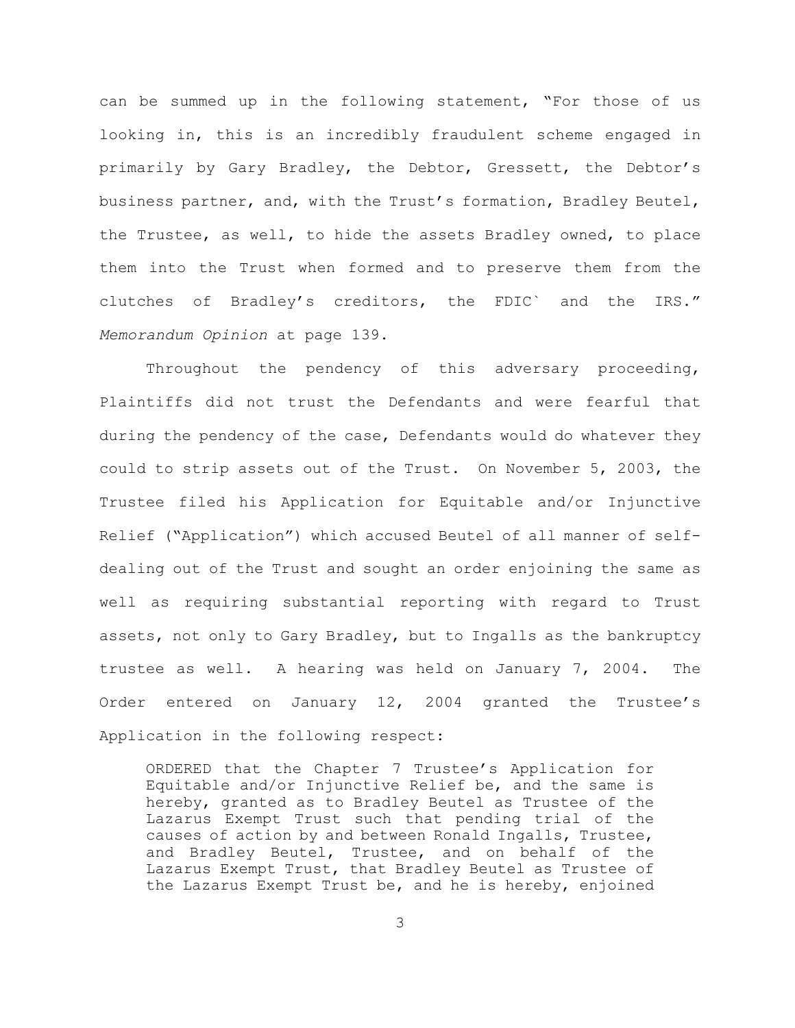can be summed up in the following statement, "For those of us looking in, this is an incredibly fraudulent scheme engaged in primarily by Gary Bradley, the Debtor, Gressett, the Debtor's business partner, and, with the Trust's formation, Bradley Beutel, the Trustee, as well, to hide the assets Bradley owned, to place them into the Trust when formed and to preserve them from the clutches of Bradley's creditors, the FDIC` and the IRS." *Memorandum Opinion* at page 139.

Throughout the pendency of this adversary proceeding, Plaintiffs did not trust the Defendants and were fearful that during the pendency of the case, Defendants would do whatever they could to strip assets out of the Trust. On November 5, 2003, the Trustee filed his Application for Equitable and/or Injunctive Relief ("Application") which accused Beutel of all manner of selfdealing out of the Trust and sought an order enjoining the same as well as requiring substantial reporting with regard to Trust assets, not only to Gary Bradley, but to Ingalls as the bankruptcy trustee as well. A hearing was held on January 7, 2004. The Order entered on January 12, 2004 granted the Trustee's Application in the following respect:

ORDERED that the Chapter 7 Trustee's Application for Equitable and/or Injunctive Relief be, and the same is hereby, granted as to Bradley Beutel as Trustee of the Lazarus Exempt Trust such that pending trial of the causes of action by and between Ronald Ingalls, Trustee, and Bradley Beutel, Trustee, and on behalf of the Lazarus Exempt Trust, that Bradley Beutel as Trustee of the Lazarus Exempt Trust be, and he is hereby, enjoined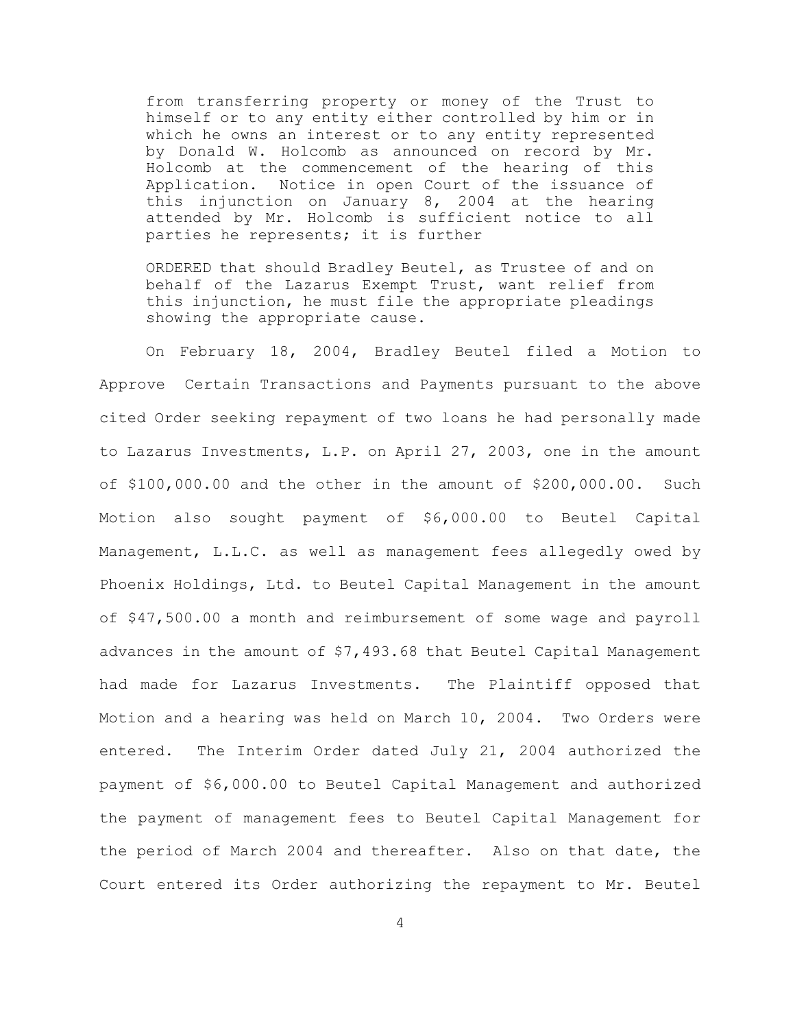from transferring property or money of the Trust to himself or to any entity either controlled by him or in which he owns an interest or to any entity represented by Donald W. Holcomb as announced on record by Mr. Holcomb at the commencement of the hearing of this Application. Notice in open Court of the issuance of this injunction on January 8, 2004 at the hearing attended by Mr. Holcomb is sufficient notice to all parties he represents; it is further

ORDERED that should Bradley Beutel, as Trustee of and on behalf of the Lazarus Exempt Trust, want relief from this injunction, he must file the appropriate pleadings showing the appropriate cause.

On February 18, 2004, Bradley Beutel filed a Motion to Approve Certain Transactions and Payments pursuant to the above cited Order seeking repayment of two loans he had personally made to Lazarus Investments, L.P. on April 27, 2003, one in the amount of \$100,000.00 and the other in the amount of \$200,000.00. Such Motion also sought payment of \$6,000.00 to Beutel Capital Management, L.L.C. as well as management fees allegedly owed by Phoenix Holdings, Ltd. to Beutel Capital Management in the amount of \$47,500.00 a month and reimbursement of some wage and payroll advances in the amount of \$7,493.68 that Beutel Capital Management had made for Lazarus Investments. The Plaintiff opposed that Motion and a hearing was held on March 10, 2004. Two Orders were entered. The Interim Order dated July 21, 2004 authorized the payment of \$6,000.00 to Beutel Capital Management and authorized the payment of management fees to Beutel Capital Management for the period of March 2004 and thereafter. Also on that date, the Court entered its Order authorizing the repayment to Mr. Beutel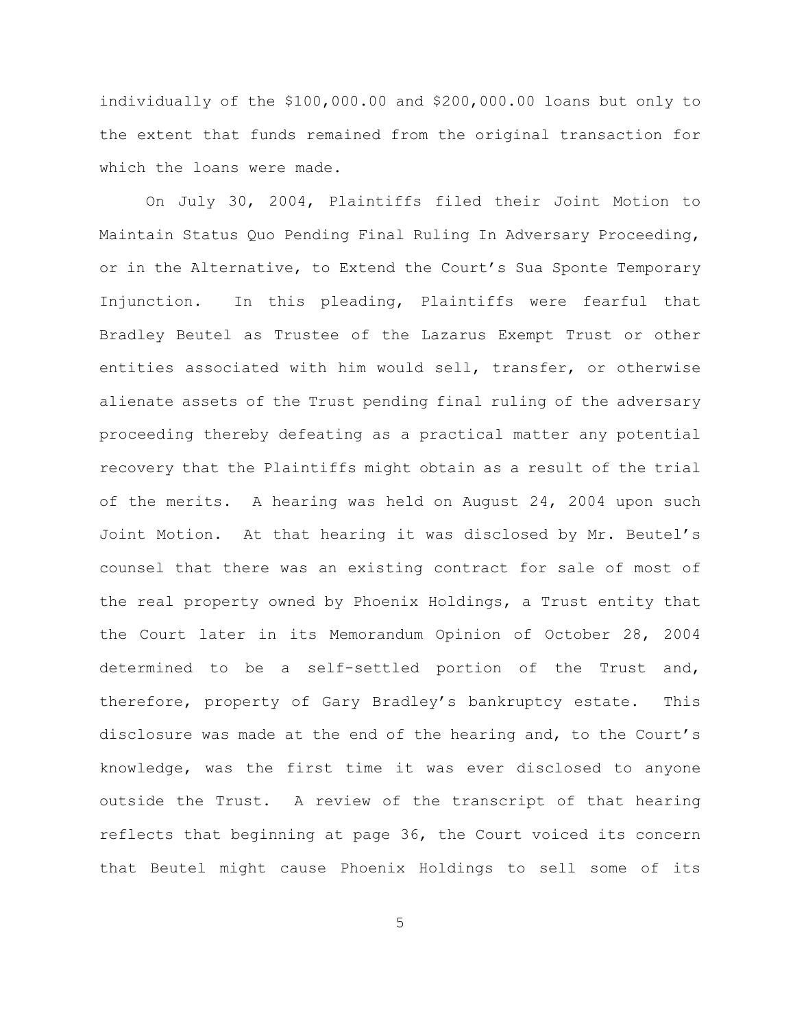individually of the \$100,000.00 and \$200,000.00 loans but only to the extent that funds remained from the original transaction for which the loans were made.

On July 30, 2004, Plaintiffs filed their Joint Motion to Maintain Status Quo Pending Final Ruling In Adversary Proceeding, or in the Alternative, to Extend the Court's Sua Sponte Temporary Injunction. In this pleading, Plaintiffs were fearful that Bradley Beutel as Trustee of the Lazarus Exempt Trust or other entities associated with him would sell, transfer, or otherwise alienate assets of the Trust pending final ruling of the adversary proceeding thereby defeating as a practical matter any potential recovery that the Plaintiffs might obtain as a result of the trial of the merits. A hearing was held on August 24, 2004 upon such Joint Motion. At that hearing it was disclosed by Mr. Beutel's counsel that there was an existing contract for sale of most of the real property owned by Phoenix Holdings, a Trust entity that the Court later in its Memorandum Opinion of October 28, 2004 determined to be a self-settled portion of the Trust and, therefore, property of Gary Bradley's bankruptcy estate. This disclosure was made at the end of the hearing and, to the Court's knowledge, was the first time it was ever disclosed to anyone outside the Trust. A review of the transcript of that hearing reflects that beginning at page 36, the Court voiced its concern that Beutel might cause Phoenix Holdings to sell some of its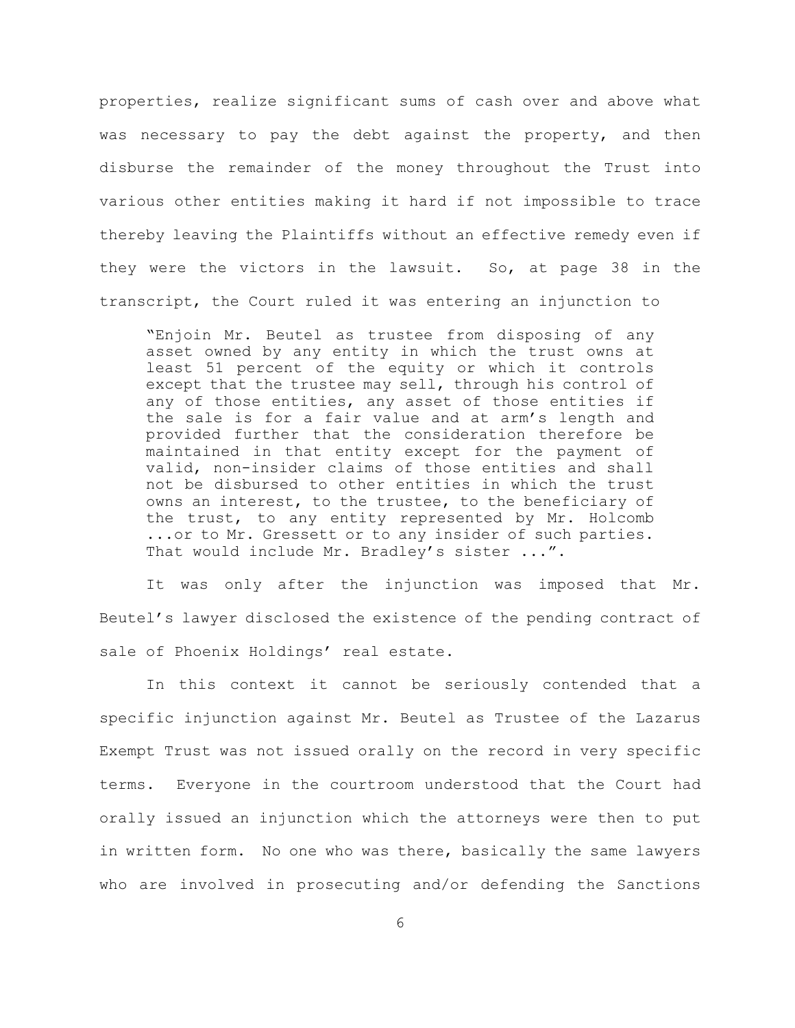properties, realize significant sums of cash over and above what was necessary to pay the debt against the property, and then disburse the remainder of the money throughout the Trust into various other entities making it hard if not impossible to trace thereby leaving the Plaintiffs without an effective remedy even if they were the victors in the lawsuit. So, at page 38 in the transcript, the Court ruled it was entering an injunction to

"Enjoin Mr. Beutel as trustee from disposing of any asset owned by any entity in which the trust owns at least 51 percent of the equity or which it controls except that the trustee may sell, through his control of any of those entities, any asset of those entities if the sale is for a fair value and at arm's length and provided further that the consideration therefore be maintained in that entity except for the payment of valid, non-insider claims of those entities and shall not be disbursed to other entities in which the trust owns an interest, to the trustee, to the beneficiary of the trust, to any entity represented by Mr. Holcomb ...or to Mr. Gressett or to any insider of such parties. That would include Mr. Bradley's sister ...".

It was only after the injunction was imposed that Mr. Beutel's lawyer disclosed the existence of the pending contract of sale of Phoenix Holdings' real estate.

In this context it cannot be seriously contended that a specific injunction against Mr. Beutel as Trustee of the Lazarus Exempt Trust was not issued orally on the record in very specific terms. Everyone in the courtroom understood that the Court had orally issued an injunction which the attorneys were then to put in written form. No one who was there, basically the same lawyers who are involved in prosecuting and/or defending the Sanctions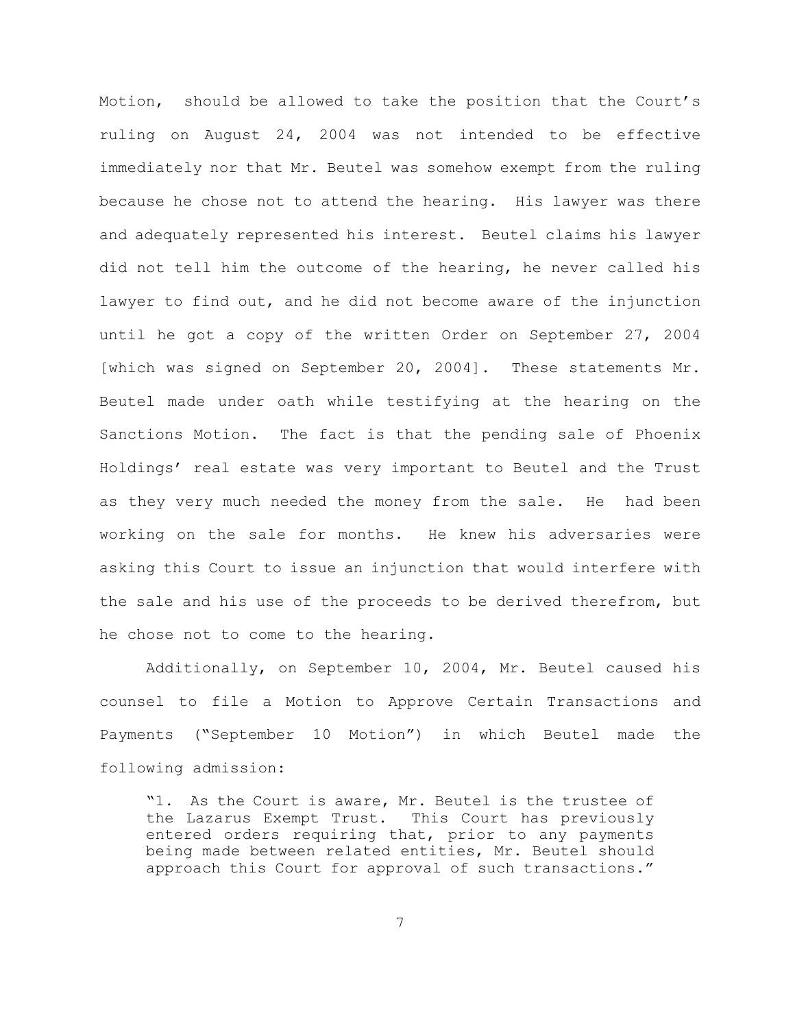Motion, should be allowed to take the position that the Court's ruling on August 24, 2004 was not intended to be effective immediately nor that Mr. Beutel was somehow exempt from the ruling because he chose not to attend the hearing. His lawyer was there and adequately represented his interest. Beutel claims his lawyer did not tell him the outcome of the hearing, he never called his lawyer to find out, and he did not become aware of the injunction until he got a copy of the written Order on September 27, 2004 [which was signed on September 20, 2004]. These statements Mr. Beutel made under oath while testifying at the hearing on the Sanctions Motion. The fact is that the pending sale of Phoenix Holdings' real estate was very important to Beutel and the Trust as they very much needed the money from the sale. He had been working on the sale for months. He knew his adversaries were asking this Court to issue an injunction that would interfere with the sale and his use of the proceeds to be derived therefrom, but he chose not to come to the hearing.

Additionally, on September 10, 2004, Mr. Beutel caused his counsel to file a Motion to Approve Certain Transactions and Payments ("September 10 Motion") in which Beutel made the following admission:

"1. As the Court is aware, Mr. Beutel is the trustee of the Lazarus Exempt Trust. This Court has previously entered orders requiring that, prior to any payments being made between related entities, Mr. Beutel should approach this Court for approval of such transactions."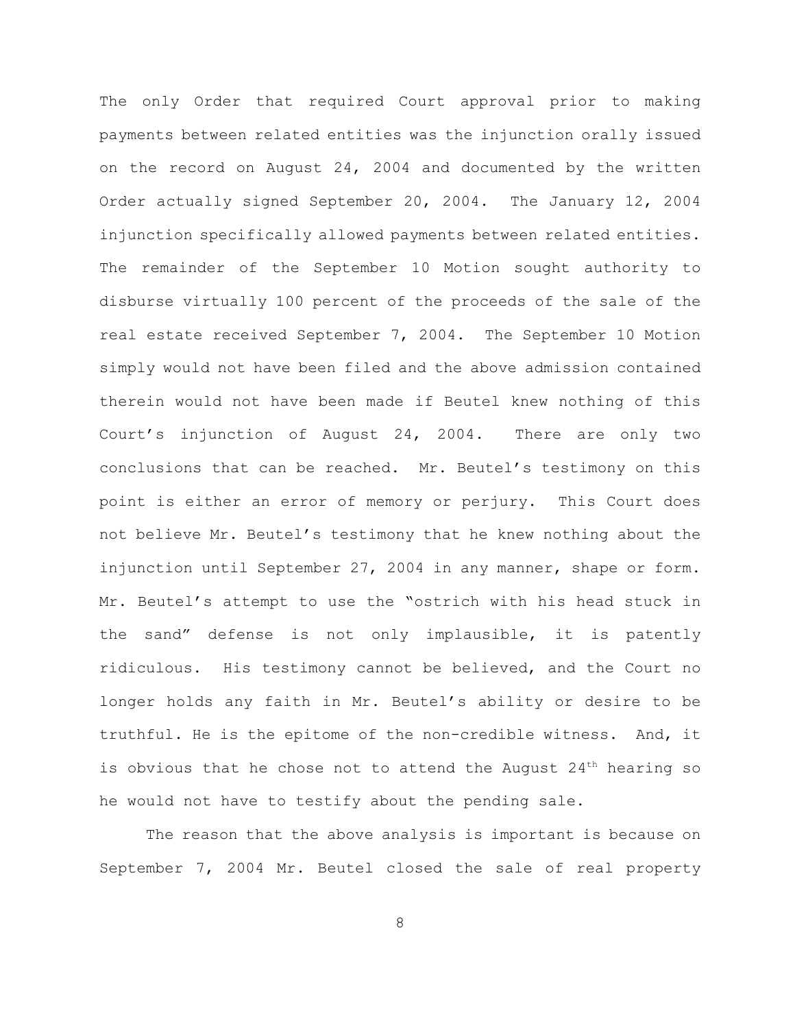The only Order that required Court approval prior to making payments between related entities was the injunction orally issued on the record on August 24, 2004 and documented by the written Order actually signed September 20, 2004. The January 12, 2004 injunction specifically allowed payments between related entities. The remainder of the September 10 Motion sought authority to disburse virtually 100 percent of the proceeds of the sale of the real estate received September 7, 2004. The September 10 Motion simply would not have been filed and the above admission contained therein would not have been made if Beutel knew nothing of this Court's injunction of August 24, 2004. There are only two conclusions that can be reached. Mr. Beutel's testimony on this point is either an error of memory or perjury. This Court does not believe Mr. Beutel's testimony that he knew nothing about the injunction until September 27, 2004 in any manner, shape or form. Mr. Beutel's attempt to use the "ostrich with his head stuck in the sand" defense is not only implausible, it is patently ridiculous. His testimony cannot be believed, and the Court no longer holds any faith in Mr. Beutel's ability or desire to be truthful. He is the epitome of the non-credible witness. And, it is obvious that he chose not to attend the August  $24<sup>th</sup>$  hearing so he would not have to testify about the pending sale.

The reason that the above analysis is important is because on September 7, 2004 Mr. Beutel closed the sale of real property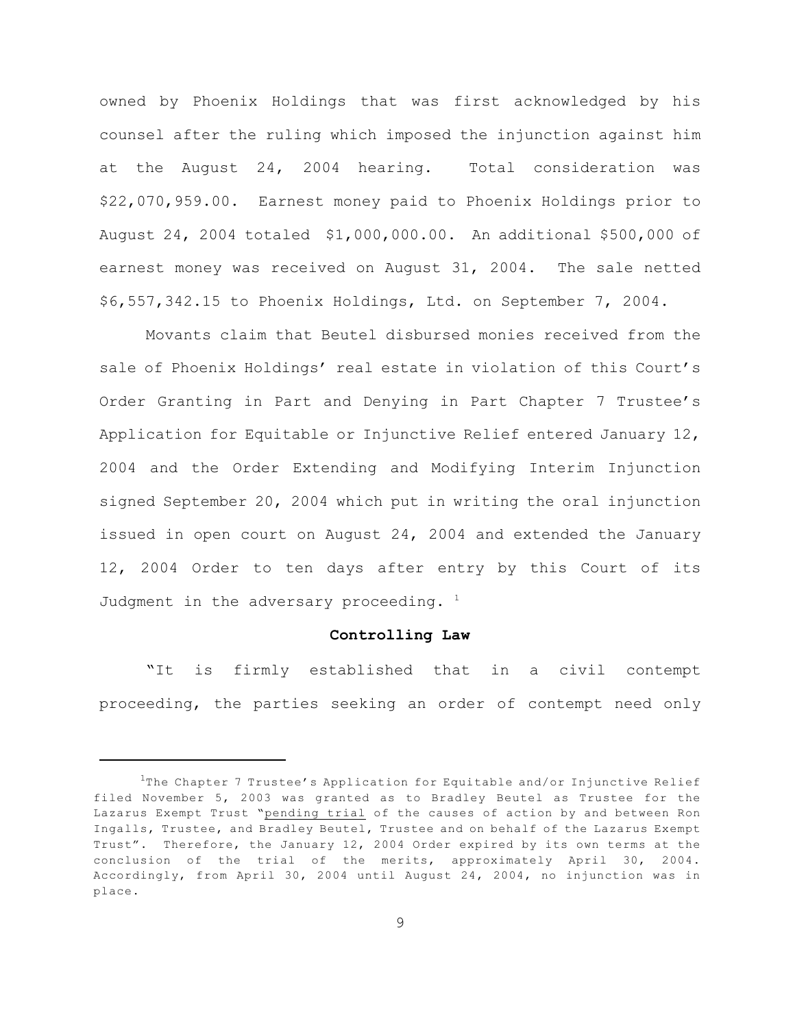owned by Phoenix Holdings that was first acknowledged by his counsel after the ruling which imposed the injunction against him at the August 24, 2004 hearing. Total consideration was \$22,070,959.00. Earnest money paid to Phoenix Holdings prior to August 24, 2004 totaled \$1,000,000.00. An additional \$500,000 of earnest money was received on August 31, 2004. The sale netted \$6,557,342.15 to Phoenix Holdings, Ltd. on September 7, 2004.

Movants claim that Beutel disbursed monies received from the sale of Phoenix Holdings' real estate in violation of this Court's Order Granting in Part and Denying in Part Chapter 7 Trustee's Application for Equitable or Injunctive Relief entered January 12, 2004 and the Order Extending and Modifying Interim Injunction signed September 20, 2004 which put in writing the oral injunction issued in open court on August 24, 2004 and extended the January 12, 2004 Order to ten days after entry by this Court of its Judgment in the adversary proceeding.  $1$ 

## **Controlling Law**

"It is firmly established that in a civil contempt proceeding, the parties seeking an order of contempt need only

 $1$ The Chapter 7 Trustee's Application for Equitable and/or Injunctive Relief filed November 5, 2003 was granted as to Bradley Beutel as Trustee for the Lazarus Exempt Trust "pending trial of the causes of action by and between Ron Ingalls, Trustee, and Bradley Beutel, Trustee and on behalf of the Lazarus Exempt Trust". Therefore, the January 12, 2004 Order expired by its own terms at the conclusion of the trial of the merits, approximately April 30, 2004. Accordingly, from April 30, 2004 until August 24, 2004, no injunction was in place.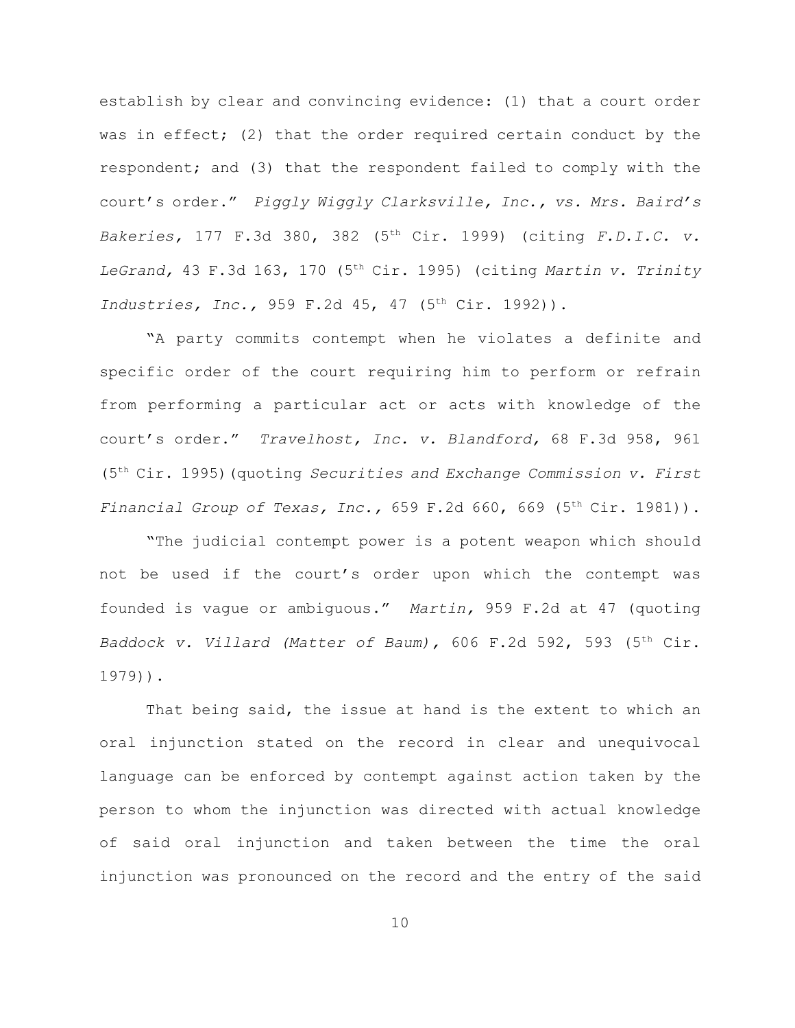establish by clear and convincing evidence: (1) that a court order was in effect; (2) that the order required certain conduct by the respondent; and (3) that the respondent failed to comply with the court's order." *Piggly Wiggly Clarksville, Inc., vs. Mrs. Baird's Bakeries,* 177 F.3d 380, 382 (5<sup>th</sup> Cir. 1999) (citing *F.D.I.C. v. LeGrand,* 43 F.3d 163, 170 (5<sup>th</sup> Cir. 1995) (citing *Martin v. Trinity Industries, Inc.,* 959 F.2d 45, 47 (5<sup>th</sup> Cir. 1992)).

"A party commits contempt when he violates a definite and specific order of the court requiring him to perform or refrain from performing a particular act or acts with knowledge of the court's order." *Travelhost, Inc. v. Blandford,* 68 F.3d 958, 961 (5<sup>th</sup> Cir. 1995) (quoting *Securities and Exchange Commission v. First Financial Group of Texas, Inc.,* 659 F.2d 660, 669 (5<sup>th</sup> Cir. 1981)).

"The judicial contempt power is a potent weapon which should not be used if the court's order upon which the contempt was founded is vague or ambiguous." *Martin,* 959 F.2d at 47 (quoting *Baddock v. Villard (Matter of Baum), 606 F.2d 592, 593 (5<sup>th</sup> Cir.* 1979)).

That being said, the issue at hand is the extent to which an oral injunction stated on the record in clear and unequivocal language can be enforced by contempt against action taken by the person to whom the injunction was directed with actual knowledge of said oral injunction and taken between the time the oral injunction was pronounced on the record and the entry of the said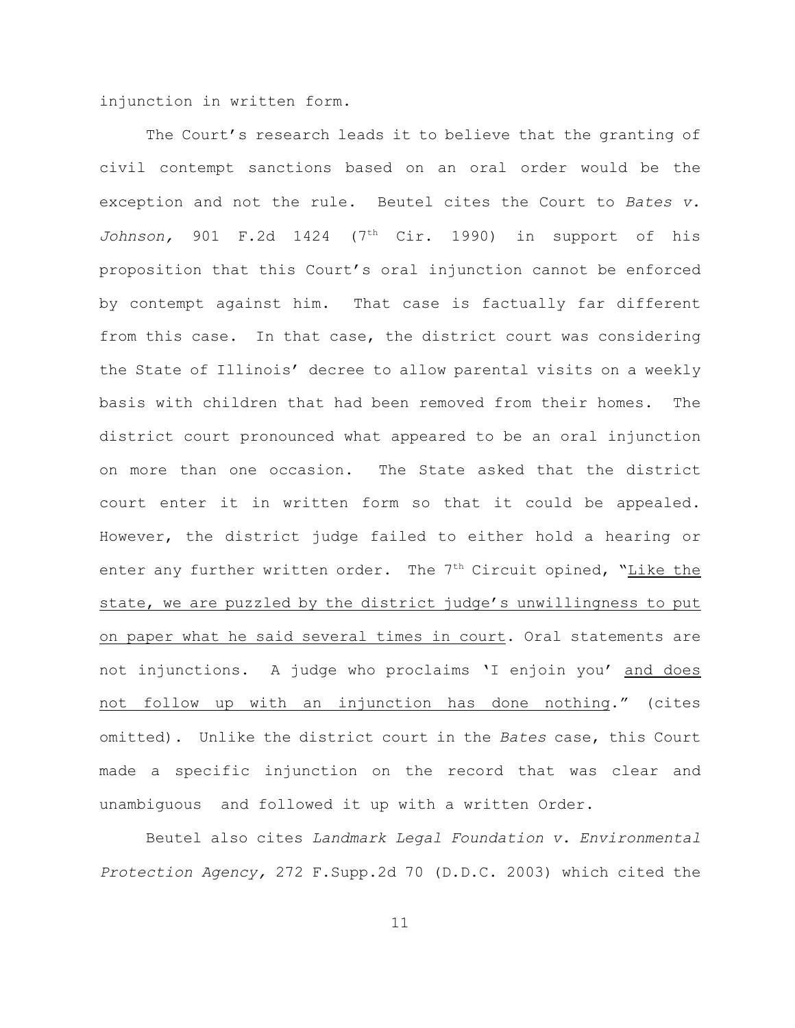injunction in written form.

The Court's research leads it to believe that the granting of civil contempt sanctions based on an oral order would be the exception and not the rule. Beutel cites the Court to *Bates v. Johnson*, 901 F.2d 1424 (7<sup>th</sup> Cir. 1990) in support of his proposition that this Court's oral injunction cannot be enforced by contempt against him. That case is factually far different from this case. In that case, the district court was considering the State of Illinois' decree to allow parental visits on a weekly basis with children that had been removed from their homes. The district court pronounced what appeared to be an oral injunction on more than one occasion. The State asked that the district court enter it in written form so that it could be appealed. However, the district judge failed to either hold a hearing or enter any further written order. The  $7<sup>th</sup>$  Circuit opined, "Like the state, we are puzzled by the district judge's unwillingness to put on paper what he said several times in court. Oral statements are not injunctions. A judge who proclaims 'I enjoin you' and does not follow up with an injunction has done nothing." (cites omitted). Unlike the district court in the *Bates* case, this Court made a specific injunction on the record that was clear and unambiguous and followed it up with a written Order.

Beutel also cites *Landmark Legal Foundation v. Environmental Protection Agency,* 272 F.Supp.2d 70 (D.D.C. 2003) which cited the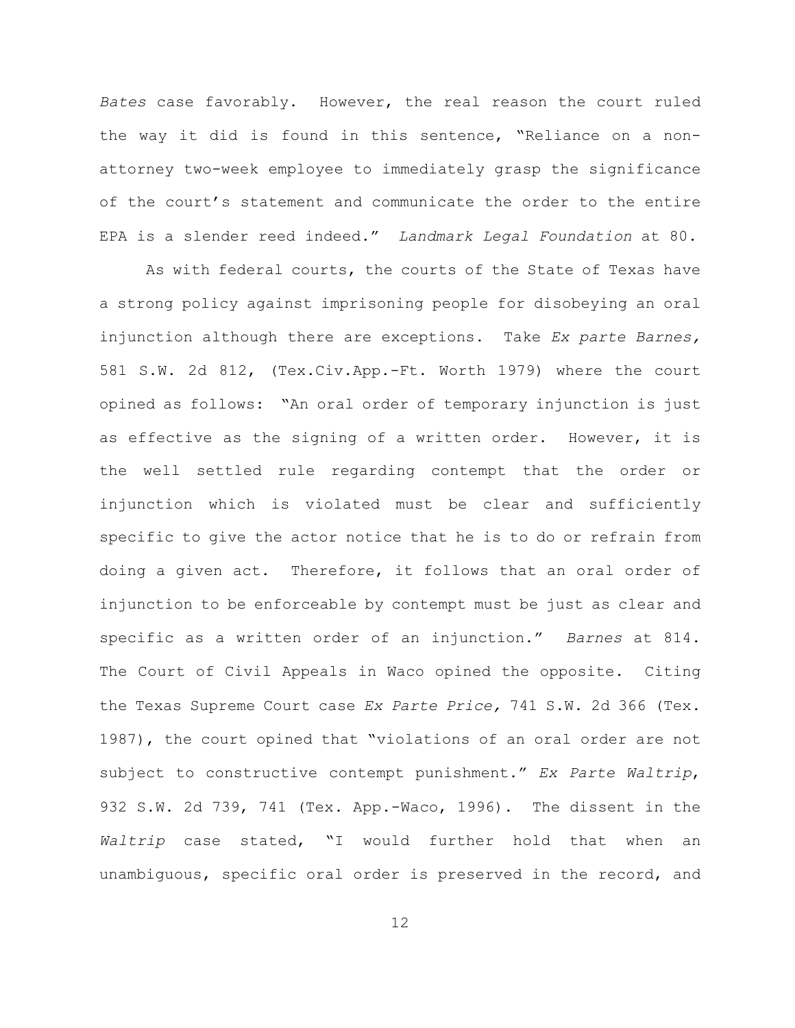*Bates* case favorably. However, the real reason the court ruled the way it did is found in this sentence, "Reliance on a nonattorney two-week employee to immediately grasp the significance of the court's statement and communicate the order to the entire EPA is a slender reed indeed." *Landmark Legal Foundation* at 80.

As with federal courts, the courts of the State of Texas have a strong policy against imprisoning people for disobeying an oral injunction although there are exceptions. Take *Ex parte Barnes,* 581 S.W. 2d 812, (Tex.Civ.App.-Ft. Worth 1979) where the court opined as follows: "An oral order of temporary injunction is just as effective as the signing of a written order. However, it is the well settled rule regarding contempt that the order or injunction which is violated must be clear and sufficiently specific to give the actor notice that he is to do or refrain from doing a given act. Therefore, it follows that an oral order of injunction to be enforceable by contempt must be just as clear and specific as a written order of an injunction." *Barnes* at 814. The Court of Civil Appeals in Waco opined the opposite. Citing the Texas Supreme Court case *Ex Parte Price,* 741 S.W. 2d 366 (Tex. 1987), the court opined that "violations of an oral order are not subject to constructive contempt punishment." *Ex Parte Waltrip*, 932 S.W. 2d 739, 741 (Tex. App.-Waco, 1996). The dissent in the *Waltrip* case stated, "I would further hold that when an unambiguous, specific oral order is preserved in the record, and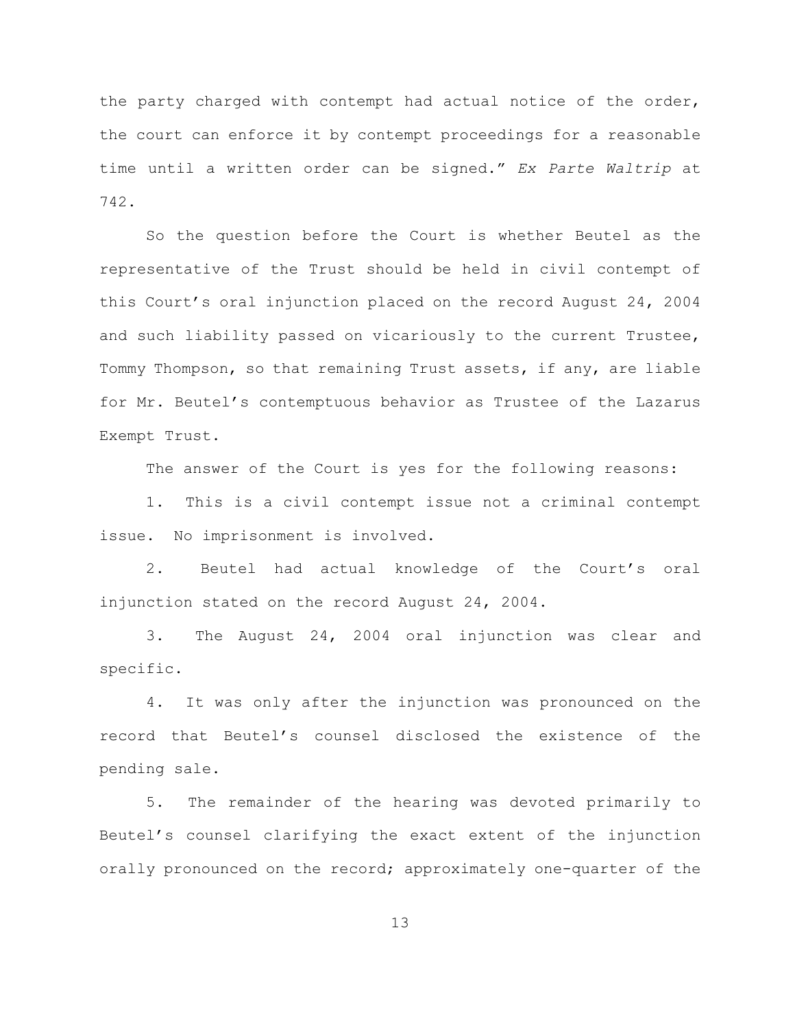the party charged with contempt had actual notice of the order, the court can enforce it by contempt proceedings for a reasonable time until a written order can be signed." *Ex Parte Waltrip* at 742.

So the question before the Court is whether Beutel as the representative of the Trust should be held in civil contempt of this Court's oral injunction placed on the record August 24, 2004 and such liability passed on vicariously to the current Trustee, Tommy Thompson, so that remaining Trust assets, if any, are liable for Mr. Beutel's contemptuous behavior as Trustee of the Lazarus Exempt Trust.

The answer of the Court is yes for the following reasons:

1. This is a civil contempt issue not a criminal contempt issue. No imprisonment is involved.

2. Beutel had actual knowledge of the Court's oral injunction stated on the record August 24, 2004.

3. The August 24, 2004 oral injunction was clear and specific.

4. It was only after the injunction was pronounced on the record that Beutel's counsel disclosed the existence of the pending sale.

5. The remainder of the hearing was devoted primarily to Beutel's counsel clarifying the exact extent of the injunction orally pronounced on the record; approximately one-quarter of the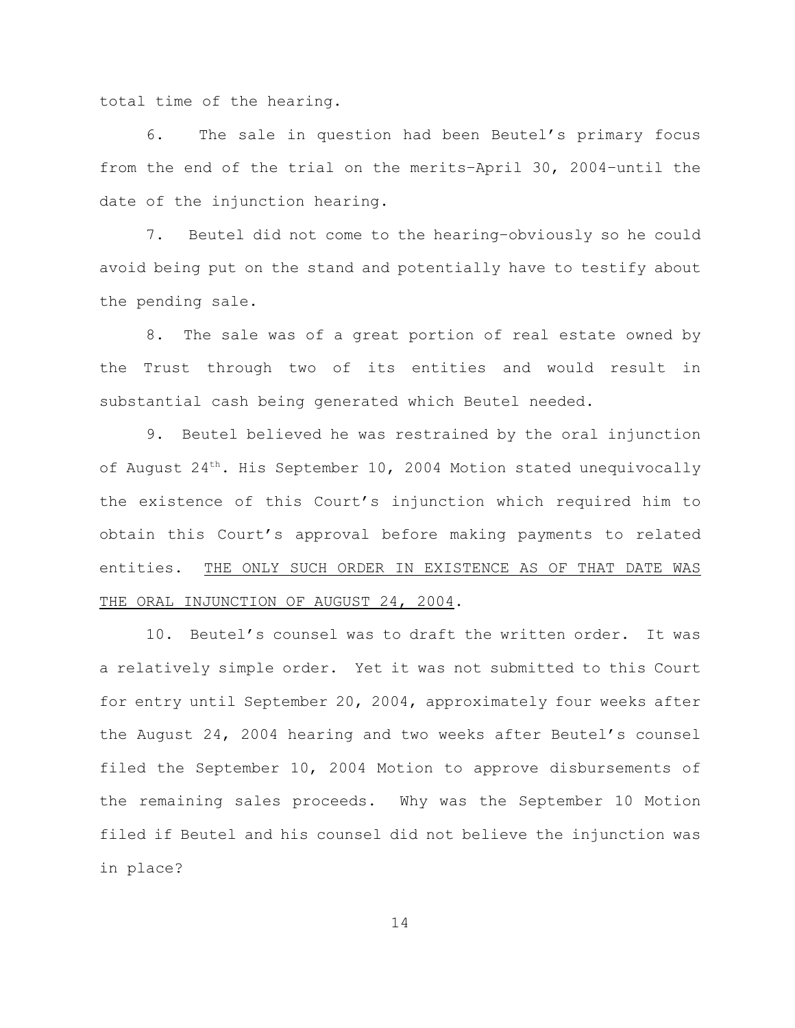total time of the hearing.

6. The sale in question had been Beutel's primary focus from the end of the trial on the merits–April 30, 2004–until the date of the injunction hearing.

7. Beutel did not come to the hearing–obviously so he could avoid being put on the stand and potentially have to testify about the pending sale.

8. The sale was of a great portion of real estate owned by the Trust through two of its entities and would result in substantial cash being generated which Beutel needed.

9. Beutel believed he was restrained by the oral injunction of August  $24^{th}$ . His September 10, 2004 Motion stated unequivocally the existence of this Court's injunction which required him to obtain this Court's approval before making payments to related entities. THE ONLY SUCH ORDER IN EXISTENCE AS OF THAT DATE WAS THE ORAL INJUNCTION OF AUGUST 24, 2004.

10. Beutel's counsel was to draft the written order. It was a relatively simple order. Yet it was not submitted to this Court for entry until September 20, 2004, approximately four weeks after the August 24, 2004 hearing and two weeks after Beutel's counsel filed the September 10, 2004 Motion to approve disbursements of the remaining sales proceeds. Why was the September 10 Motion filed if Beutel and his counsel did not believe the injunction was in place?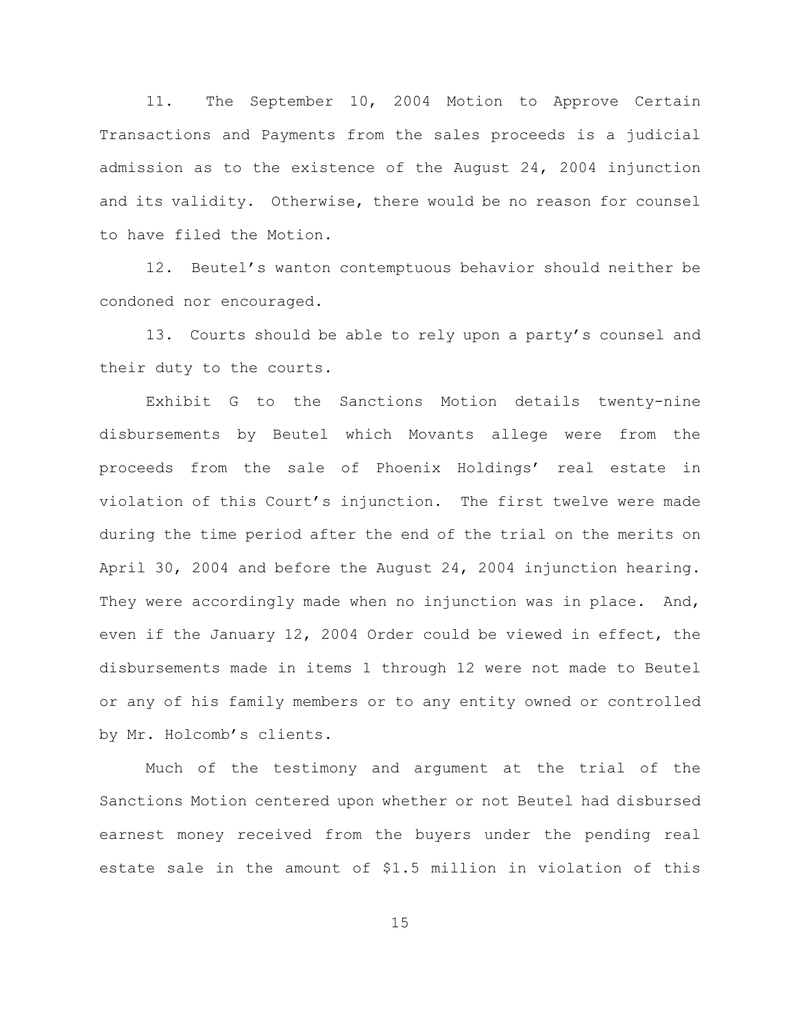11. The September 10, 2004 Motion to Approve Certain Transactions and Payments from the sales proceeds is a judicial admission as to the existence of the August 24, 2004 injunction and its validity. Otherwise, there would be no reason for counsel to have filed the Motion.

12. Beutel's wanton contemptuous behavior should neither be condoned nor encouraged.

13. Courts should be able to rely upon a party's counsel and their duty to the courts.

Exhibit G to the Sanctions Motion details twenty-nine disbursements by Beutel which Movants allege were from the proceeds from the sale of Phoenix Holdings' real estate in violation of this Court's injunction. The first twelve were made during the time period after the end of the trial on the merits on April 30, 2004 and before the August 24, 2004 injunction hearing. They were accordingly made when no injunction was in place. And, even if the January 12, 2004 Order could be viewed in effect, the disbursements made in items 1 through 12 were not made to Beutel or any of his family members or to any entity owned or controlled by Mr. Holcomb's clients.

Much of the testimony and argument at the trial of the Sanctions Motion centered upon whether or not Beutel had disbursed earnest money received from the buyers under the pending real estate sale in the amount of \$1.5 million in violation of this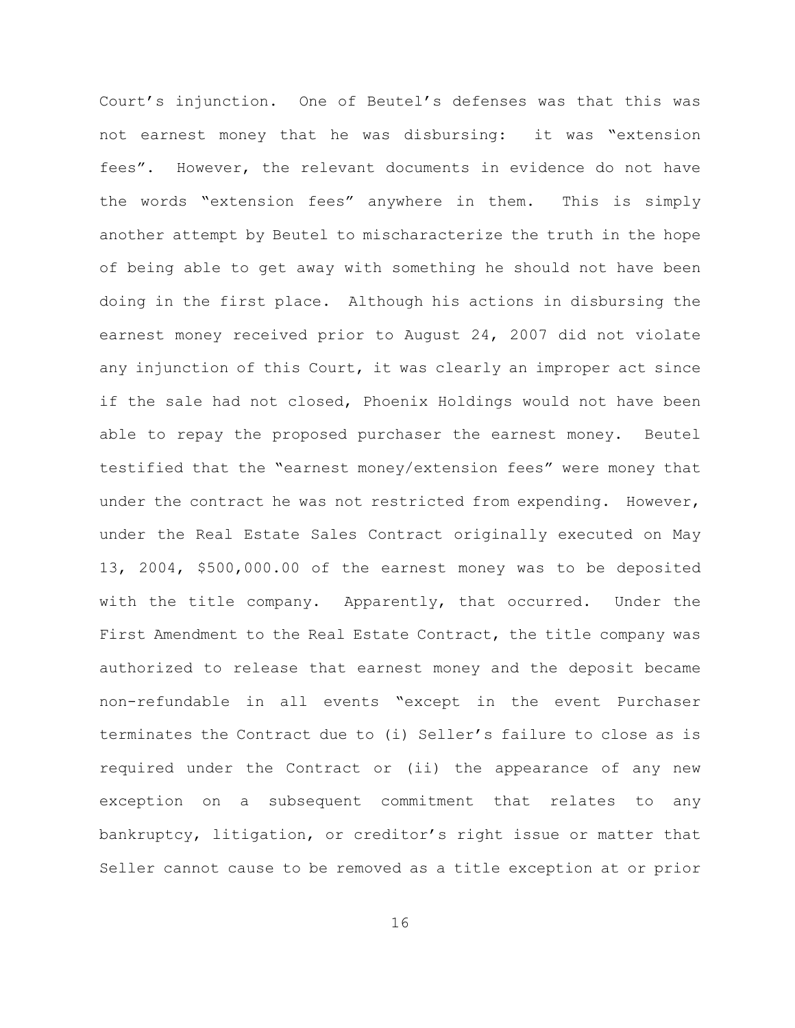Court's injunction. One of Beutel's defenses was that this was not earnest money that he was disbursing: it was "extension fees". However, the relevant documents in evidence do not have the words "extension fees" anywhere in them. This is simply another attempt by Beutel to mischaracterize the truth in the hope of being able to get away with something he should not have been doing in the first place. Although his actions in disbursing the earnest money received prior to August 24, 2007 did not violate any injunction of this Court, it was clearly an improper act since if the sale had not closed, Phoenix Holdings would not have been able to repay the proposed purchaser the earnest money. Beutel testified that the "earnest money/extension fees" were money that under the contract he was not restricted from expending. However, under the Real Estate Sales Contract originally executed on May 13, 2004, \$500,000.00 of the earnest money was to be deposited with the title company. Apparently, that occurred. Under the First Amendment to the Real Estate Contract, the title company was authorized to release that earnest money and the deposit became non-refundable in all events "except in the event Purchaser terminates the Contract due to (i) Seller's failure to close as is required under the Contract or (ii) the appearance of any new exception on a subsequent commitment that relates to any bankruptcy, litigation, or creditor's right issue or matter that Seller cannot cause to be removed as a title exception at or prior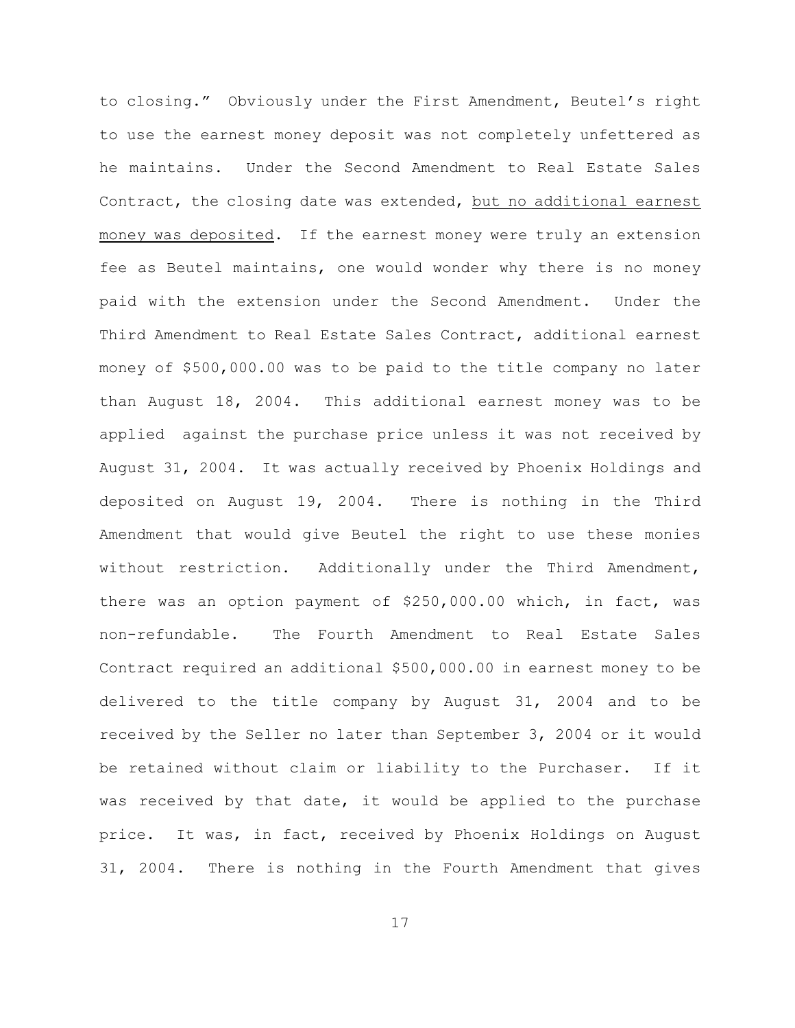to closing." Obviously under the First Amendment, Beutel's right to use the earnest money deposit was not completely unfettered as he maintains. Under the Second Amendment to Real Estate Sales Contract, the closing date was extended, but no additional earnest money was deposited. If the earnest money were truly an extension fee as Beutel maintains, one would wonder why there is no money paid with the extension under the Second Amendment. Under the Third Amendment to Real Estate Sales Contract, additional earnest money of \$500,000.00 was to be paid to the title company no later than August 18, 2004. This additional earnest money was to be applied against the purchase price unless it was not received by August 31, 2004. It was actually received by Phoenix Holdings and deposited on August 19, 2004. There is nothing in the Third Amendment that would give Beutel the right to use these monies without restriction. Additionally under the Third Amendment, there was an option payment of \$250,000.00 which, in fact, was non-refundable. The Fourth Amendment to Real Estate Sales Contract required an additional \$500,000.00 in earnest money to be delivered to the title company by August 31, 2004 and to be received by the Seller no later than September 3, 2004 or it would be retained without claim or liability to the Purchaser. If it was received by that date, it would be applied to the purchase price. It was, in fact, received by Phoenix Holdings on August 31, 2004. There is nothing in the Fourth Amendment that gives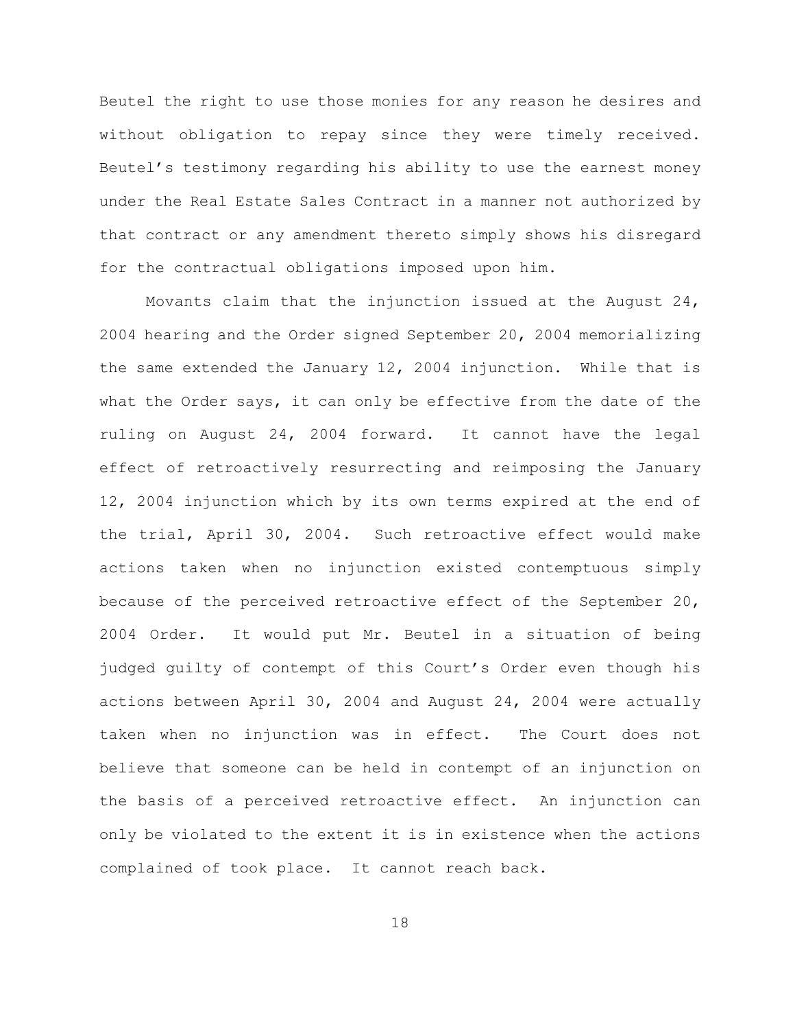Beutel the right to use those monies for any reason he desires and without obligation to repay since they were timely received. Beutel's testimony regarding his ability to use the earnest money under the Real Estate Sales Contract in a manner not authorized by that contract or any amendment thereto simply shows his disregard for the contractual obligations imposed upon him.

Movants claim that the injunction issued at the August  $24$ , 2004 hearing and the Order signed September 20, 2004 memorializing the same extended the January 12, 2004 injunction. While that is what the Order says, it can only be effective from the date of the ruling on August 24, 2004 forward. It cannot have the legal effect of retroactively resurrecting and reimposing the January 12, 2004 injunction which by its own terms expired at the end of the trial, April 30, 2004. Such retroactive effect would make actions taken when no injunction existed contemptuous simply because of the perceived retroactive effect of the September 20, 2004 Order. It would put Mr. Beutel in a situation of being judged guilty of contempt of this Court's Order even though his actions between April 30, 2004 and August 24, 2004 were actually taken when no injunction was in effect. The Court does not believe that someone can be held in contempt of an injunction on the basis of a perceived retroactive effect. An injunction can only be violated to the extent it is in existence when the actions complained of took place. It cannot reach back.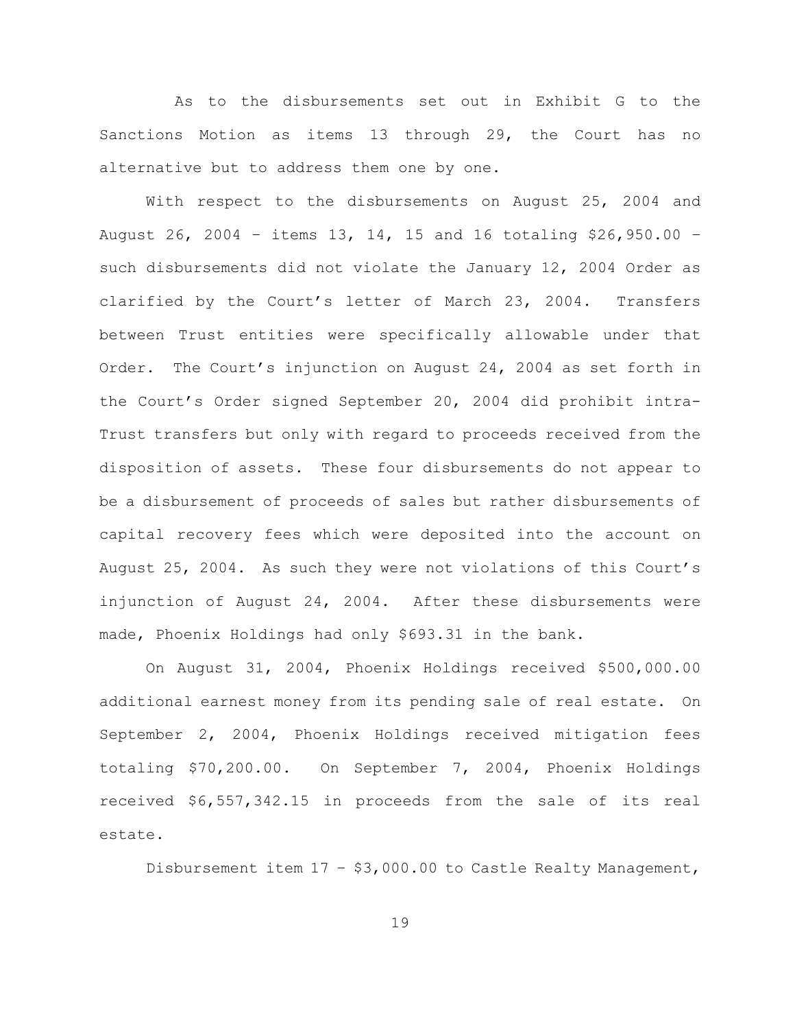As to the disbursements set out in Exhibit G to the Sanctions Motion as items 13 through 29, the Court has no alternative but to address them one by one.

With respect to the disbursements on August 25, 2004 and August 26, 2004 – items 13, 14, 15 and 16 totaling \$26,950.00 – such disbursements did not violate the January 12, 2004 Order as clarified by the Court's letter of March 23, 2004. Transfers between Trust entities were specifically allowable under that Order. The Court's injunction on August 24, 2004 as set forth in the Court's Order signed September 20, 2004 did prohibit intra-Trust transfers but only with regard to proceeds received from the disposition of assets. These four disbursements do not appear to be a disbursement of proceeds of sales but rather disbursements of capital recovery fees which were deposited into the account on August 25, 2004. As such they were not violations of this Court's injunction of August 24, 2004. After these disbursements were made, Phoenix Holdings had only \$693.31 in the bank.

On August 31, 2004, Phoenix Holdings received \$500,000.00 additional earnest money from its pending sale of real estate. On September 2, 2004, Phoenix Holdings received mitigation fees totaling \$70,200.00. On September 7, 2004, Phoenix Holdings received \$6,557,342.15 in proceeds from the sale of its real estate.

Disbursement item  $17 - $3,000.00$  to Castle Realty Management,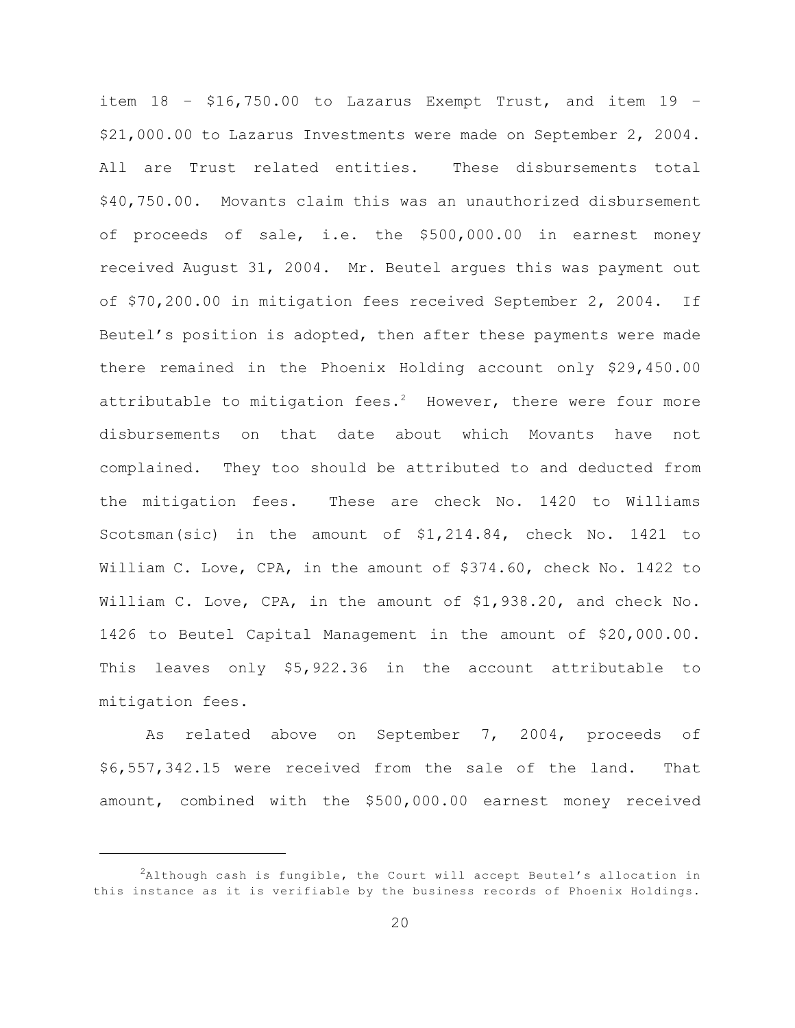item 18 – \$16,750.00 to Lazarus Exempt Trust, and item 19 – \$21,000.00 to Lazarus Investments were made on September 2, 2004. All are Trust related entities. These disbursements total \$40,750.00. Movants claim this was an unauthorized disbursement of proceeds of sale, i.e. the \$500,000.00 in earnest money received August 31, 2004. Mr. Beutel argues this was payment out of \$70,200.00 in mitigation fees received September 2, 2004. If Beutel's position is adopted, then after these payments were made there remained in the Phoenix Holding account only \$29,450.00 attributable to mitigation fees.<sup>2</sup> However, there were four more disbursements on that date about which Movants have not complained. They too should be attributed to and deducted from the mitigation fees. These are check No. 1420 to Williams Scotsman(sic) in the amount of \$1,214.84, check No. 1421 to William C. Love, CPA, in the amount of \$374.60, check No. 1422 to William C. Love, CPA, in the amount of \$1,938.20, and check No. 1426 to Beutel Capital Management in the amount of \$20,000.00. This leaves only \$5,922.36 in the account attributable to mitigation fees.

As related above on September 7, 2004, proceeds of \$6,557,342.15 were received from the sale of the land. That amount, combined with the \$500,000.00 earnest money received

 $A$ lthough cash is fungible, the Court will accept Beutel's allocation in this instance as it is verifiable by the business records of Phoenix Holdings.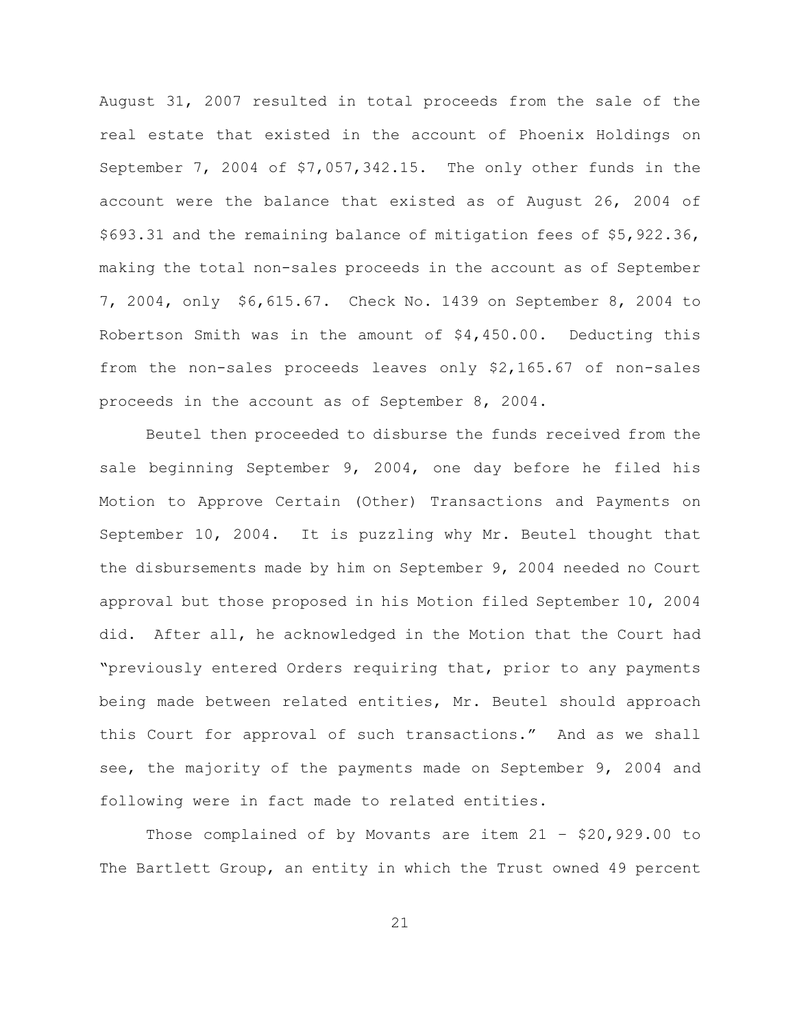August 31, 2007 resulted in total proceeds from the sale of the real estate that existed in the account of Phoenix Holdings on September 7, 2004 of \$7,057,342.15. The only other funds in the account were the balance that existed as of August 26, 2004 of \$693.31 and the remaining balance of mitigation fees of \$5,922.36, making the total non-sales proceeds in the account as of September 7, 2004, only \$6,615.67. Check No. 1439 on September 8, 2004 to Robertson Smith was in the amount of \$4,450.00. Deducting this from the non-sales proceeds leaves only \$2,165.67 of non-sales proceeds in the account as of September 8, 2004.

Beutel then proceeded to disburse the funds received from the sale beginning September 9, 2004, one day before he filed his Motion to Approve Certain (Other) Transactions and Payments on September 10, 2004. It is puzzling why Mr. Beutel thought that the disbursements made by him on September 9, 2004 needed no Court approval but those proposed in his Motion filed September 10, 2004 did. After all, he acknowledged in the Motion that the Court had "previously entered Orders requiring that, prior to any payments being made between related entities, Mr. Beutel should approach this Court for approval of such transactions." And as we shall see, the majority of the payments made on September 9, 2004 and following were in fact made to related entities.

Those complained of by Movants are item 21 – \$20,929.00 to The Bartlett Group, an entity in which the Trust owned 49 percent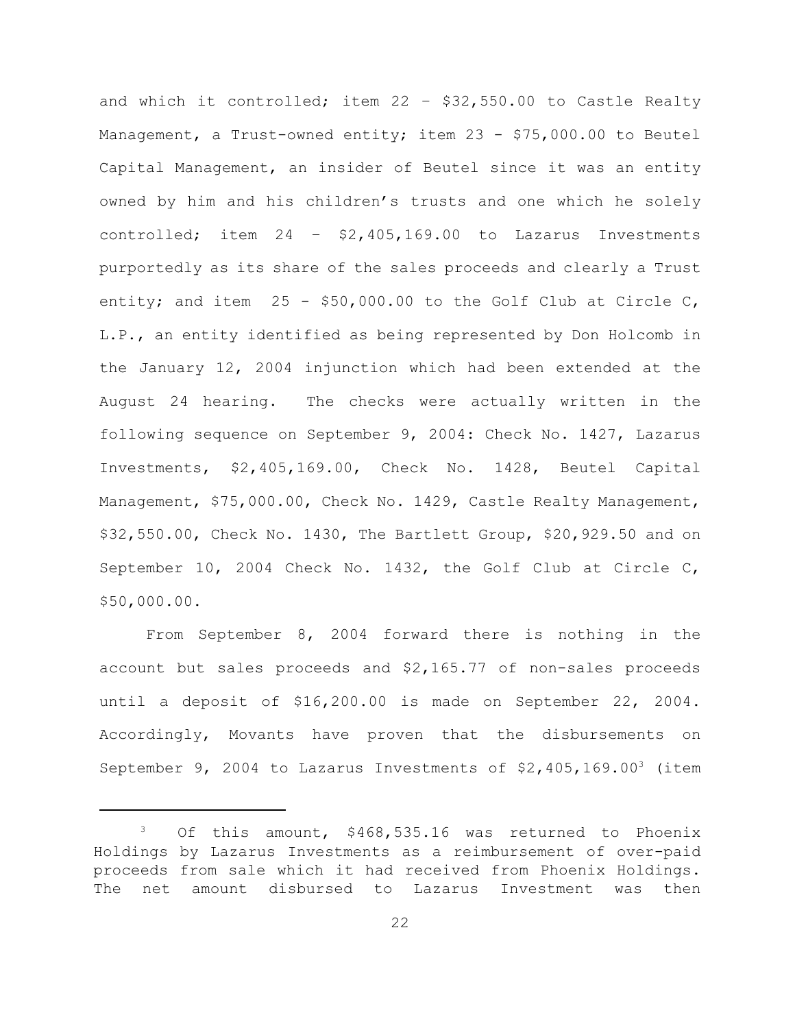and which it controlled; item 22 – \$32,550.00 to Castle Realty Management, a Trust-owned entity; item 23 - \$75,000.00 to Beutel Capital Management, an insider of Beutel since it was an entity owned by him and his children's trusts and one which he solely controlled; item 24 – \$2,405,169.00 to Lazarus Investments purportedly as its share of the sales proceeds and clearly a Trust entity; and item 25 - \$50,000.00 to the Golf Club at Circle C, L.P., an entity identified as being represented by Don Holcomb in the January 12, 2004 injunction which had been extended at the August 24 hearing. The checks were actually written in the following sequence on September 9, 2004: Check No. 1427, Lazarus Investments, \$2,405,169.00, Check No. 1428, Beutel Capital Management, \$75,000.00, Check No. 1429, Castle Realty Management, \$32,550.00, Check No. 1430, The Bartlett Group, \$20,929.50 and on September 10, 2004 Check No. 1432, the Golf Club at Circle C, \$50,000.00.

From September 8, 2004 forward there is nothing in the account but sales proceeds and \$2,165.77 of non-sales proceeds until a deposit of \$16,200.00 is made on September 22, 2004. Accordingly, Movants have proven that the disbursements on September 9, 2004 to Lazarus Investments of  $$2,405,169.00^3$  (item

 $3$  Of this amount, \$468,535.16 was returned to Phoenix Holdings by Lazarus Investments as a reimbursement of over-paid proceeds from sale which it had received from Phoenix Holdings. The net amount disbursed to Lazarus Investment was then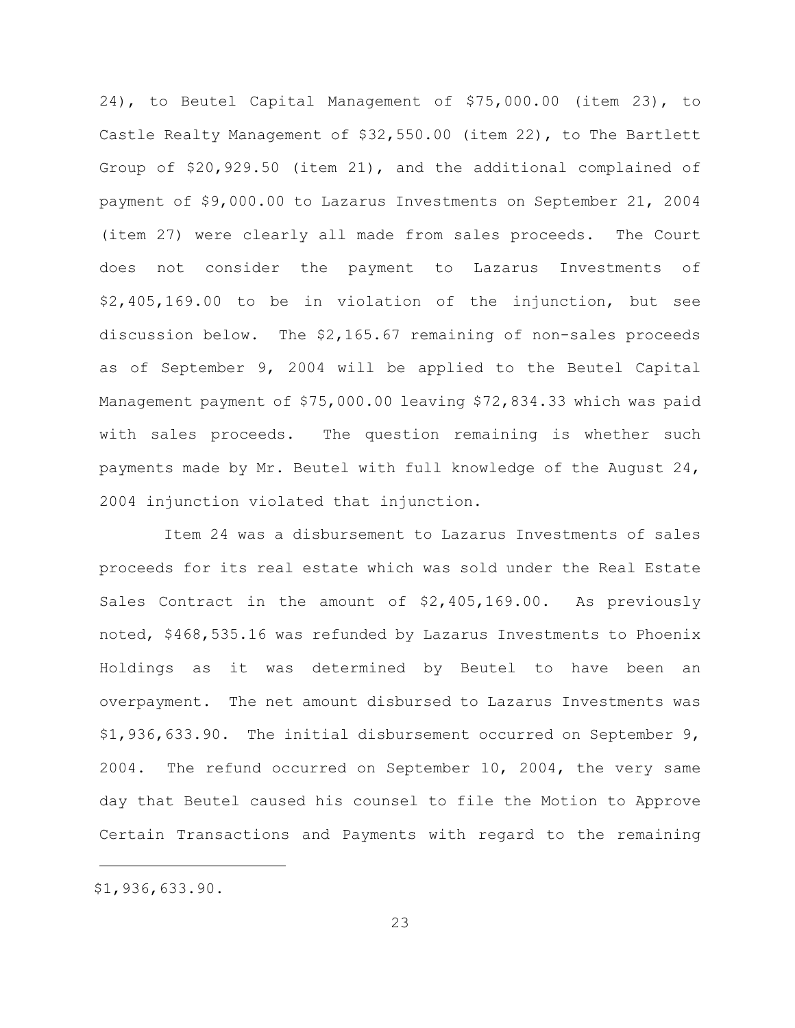24), to Beutel Capital Management of \$75,000.00 (item 23), to Castle Realty Management of \$32,550.00 (item 22), to The Bartlett Group of \$20,929.50 (item 21), and the additional complained of payment of \$9,000.00 to Lazarus Investments on September 21, 2004 (item 27) were clearly all made from sales proceeds. The Court does not consider the payment to Lazarus Investments of \$2,405,169.00 to be in violation of the injunction, but see discussion below. The \$2,165.67 remaining of non-sales proceeds as of September 9, 2004 will be applied to the Beutel Capital Management payment of \$75,000.00 leaving \$72,834.33 which was paid with sales proceeds. The question remaining is whether such payments made by Mr. Beutel with full knowledge of the August 24, 2004 injunction violated that injunction.

Item 24 was a disbursement to Lazarus Investments of sales proceeds for its real estate which was sold under the Real Estate Sales Contract in the amount of \$2,405,169.00. As previously noted, \$468,535.16 was refunded by Lazarus Investments to Phoenix Holdings as it was determined by Beutel to have been an overpayment. The net amount disbursed to Lazarus Investments was \$1,936,633.90. The initial disbursement occurred on September 9, 2004. The refund occurred on September 10, 2004, the very same day that Beutel caused his counsel to file the Motion to Approve Certain Transactions and Payments with regard to the remaining

<sup>\$1,936,633.90.</sup>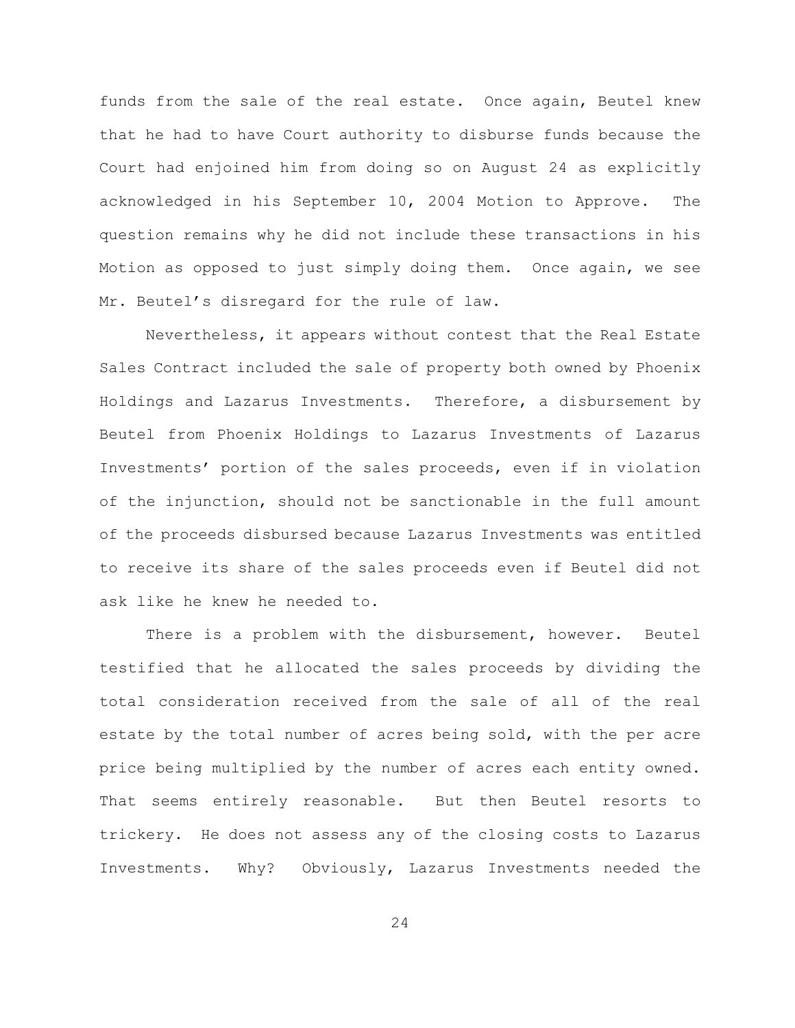funds from the sale of the real estate. Once again, Beutel knew that he had to have Court authority to disburse funds because the Court had enjoined him from doing so on August 24 as explicitly acknowledged in his September 10, 2004 Motion to Approve. The question remains why he did not include these transactions in his Motion as opposed to just simply doing them. Once again, we see Mr. Beutel's disregard for the rule of law.

Nevertheless, it appears without contest that the Real Estate Sales Contract included the sale of property both owned by Phoenix Holdings and Lazarus Investments. Therefore, a disbursement by Beutel from Phoenix Holdings to Lazarus Investments of Lazarus Investments' portion of the sales proceeds, even if in violation of the injunction, should not be sanctionable in the full amount of the proceeds disbursed because Lazarus Investments was entitled to receive its share of the sales proceeds even if Beutel did not ask like he knew he needed to.

There is a problem with the disbursement, however. Beutel testified that he allocated the sales proceeds by dividing the total consideration received from the sale of all of the real estate by the total number of acres being sold, with the per acre price being multiplied by the number of acres each entity owned. That seems entirely reasonable. But then Beutel resorts to trickery. He does not assess any of the closing costs to Lazarus Investments. Why? Obviously, Lazarus Investments needed the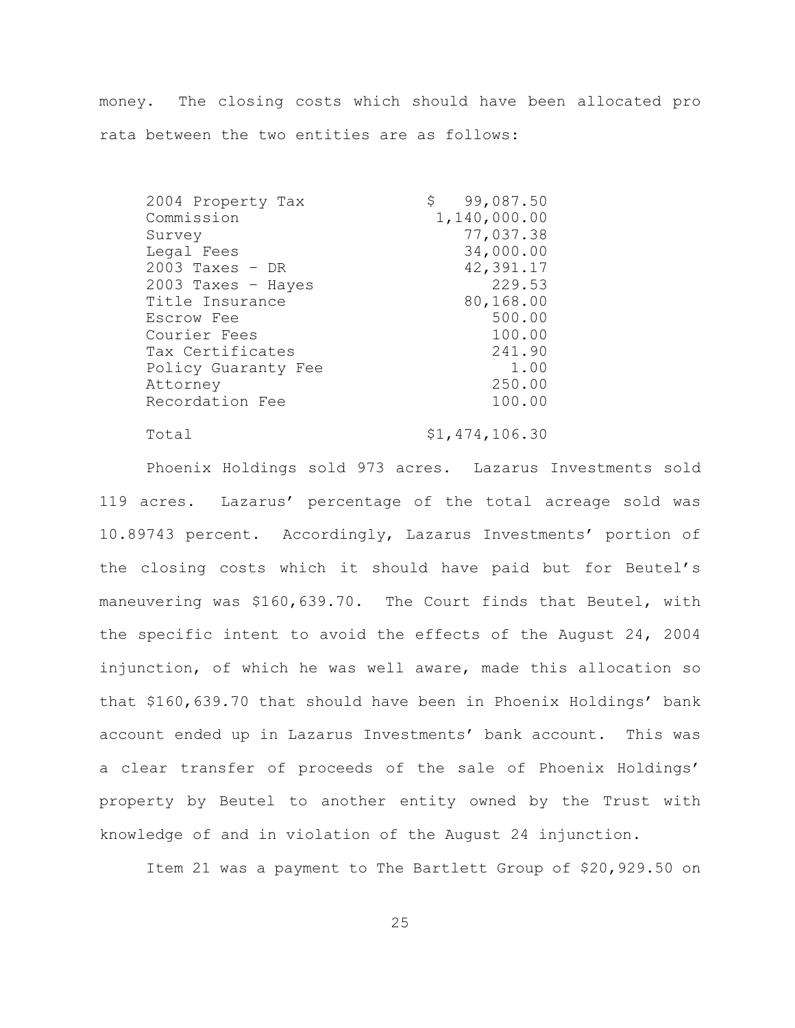money. The closing costs which should have been allocated pro rata between the two entities are as follows:

2004 Property Tax \$ 99,087.50 Commission 1,140,000.00 Survey 77,037.38 Legal Fees 34,000.00 2003 Taxes – DR 42,391.17 2003 Taxes – Hayes 229.53 Title Insurance 80,168.00 Escrow Fee 500.00 Courier Fees 100.00 Tax Certificates 241.90 Policy Guaranty Fee 1.00 Attorney 250.00 Recordation Fee 100.00

Total  $$1,474,106.30$ 

Phoenix Holdings sold 973 acres. Lazarus Investments sold 119 acres. Lazarus' percentage of the total acreage sold was 10.89743 percent. Accordingly, Lazarus Investments' portion of the closing costs which it should have paid but for Beutel's maneuvering was \$160,639.70. The Court finds that Beutel, with the specific intent to avoid the effects of the August 24, 2004 injunction, of which he was well aware, made this allocation so that \$160,639.70 that should have been in Phoenix Holdings' bank account ended up in Lazarus Investments' bank account. This was a clear transfer of proceeds of the sale of Phoenix Holdings' property by Beutel to another entity owned by the Trust with knowledge of and in violation of the August 24 injunction.

Item 21 was a payment to The Bartlett Group of \$20,929.50 on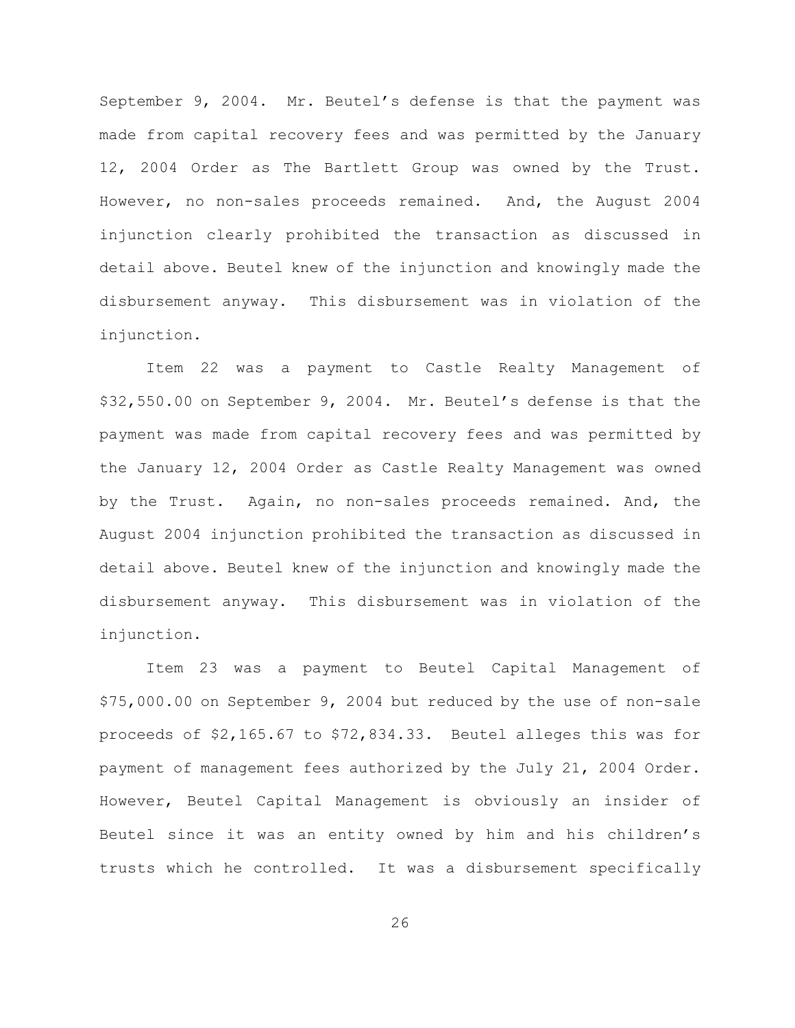September 9, 2004. Mr. Beutel's defense is that the payment was made from capital recovery fees and was permitted by the January 12, 2004 Order as The Bartlett Group was owned by the Trust. However, no non-sales proceeds remained. And, the August 2004 injunction clearly prohibited the transaction as discussed in detail above. Beutel knew of the injunction and knowingly made the disbursement anyway. This disbursement was in violation of the injunction.

Item 22 was a payment to Castle Realty Management of \$32,550.00 on September 9, 2004. Mr. Beutel's defense is that the payment was made from capital recovery fees and was permitted by the January 12, 2004 Order as Castle Realty Management was owned by the Trust. Again, no non-sales proceeds remained. And, the August 2004 injunction prohibited the transaction as discussed in detail above. Beutel knew of the injunction and knowingly made the disbursement anyway. This disbursement was in violation of the injunction.

Item 23 was a payment to Beutel Capital Management of \$75,000.00 on September 9, 2004 but reduced by the use of non-sale proceeds of \$2,165.67 to \$72,834.33. Beutel alleges this was for payment of management fees authorized by the July 21, 2004 Order. However, Beutel Capital Management is obviously an insider of Beutel since it was an entity owned by him and his children's trusts which he controlled. It was a disbursement specifically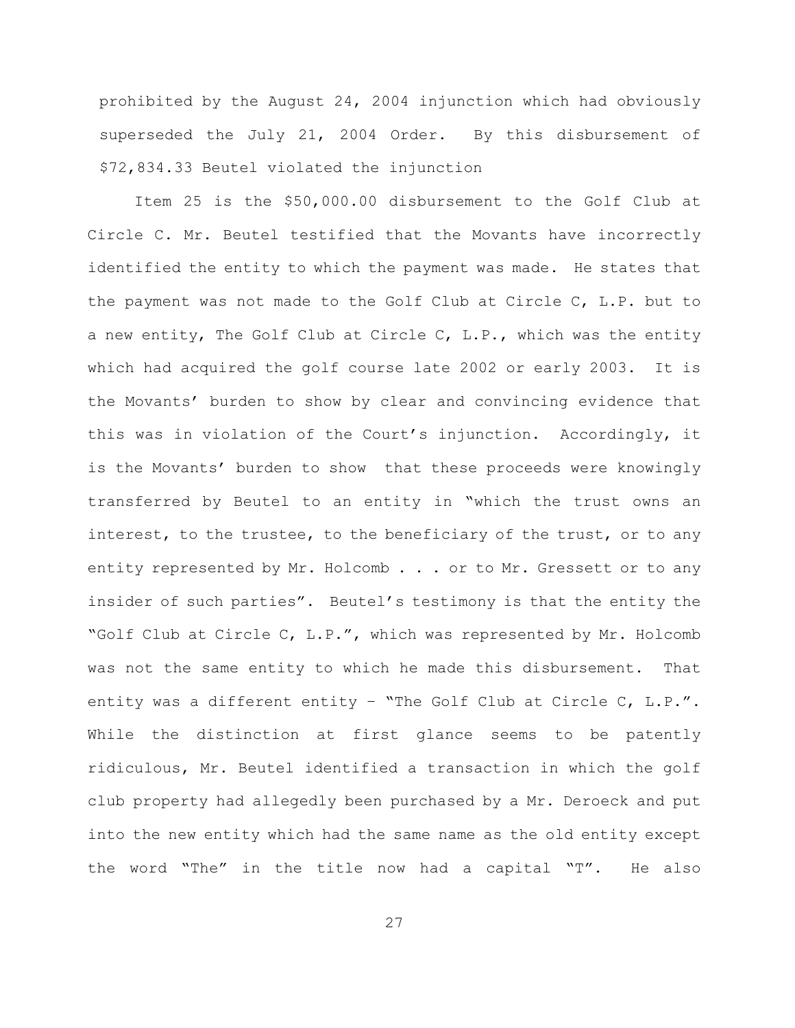prohibited by the August 24, 2004 injunction which had obviously superseded the July 21, 2004 Order. By this disbursement of \$72,834.33 Beutel violated the injunction

Item 25 is the \$50,000.00 disbursement to the Golf Club at Circle C. Mr. Beutel testified that the Movants have incorrectly identified the entity to which the payment was made. He states that the payment was not made to the Golf Club at Circle C, L.P. but to a new entity, The Golf Club at Circle C, L.P., which was the entity which had acquired the golf course late 2002 or early 2003. It is the Movants' burden to show by clear and convincing evidence that this was in violation of the Court's injunction. Accordingly, it is the Movants' burden to show that these proceeds were knowingly transferred by Beutel to an entity in "which the trust owns an interest, to the trustee, to the beneficiary of the trust, or to any entity represented by Mr. Holcomb . . . or to Mr. Gressett or to any insider of such parties". Beutel's testimony is that the entity the "Golf Club at Circle C, L.P.", which was represented by Mr. Holcomb was not the same entity to which he made this disbursement. That entity was a different entity – "The Golf Club at Circle C, L.P.". While the distinction at first glance seems to be patently ridiculous, Mr. Beutel identified a transaction in which the golf club property had allegedly been purchased by a Mr. Deroeck and put into the new entity which had the same name as the old entity except the word "The" in the title now had a capital "T". He also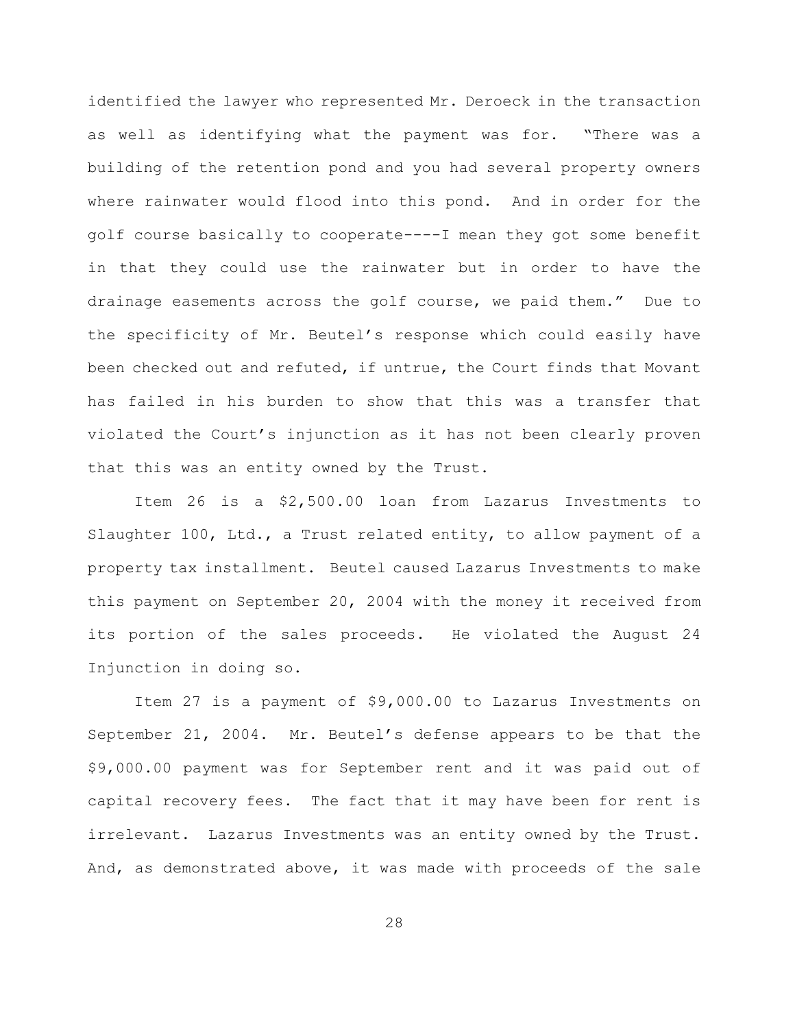identified the lawyer who represented Mr. Deroeck in the transaction as well as identifying what the payment was for. "There was a building of the retention pond and you had several property owners where rainwater would flood into this pond. And in order for the golf course basically to cooperate----I mean they got some benefit in that they could use the rainwater but in order to have the drainage easements across the golf course, we paid them." Due to the specificity of Mr. Beutel's response which could easily have been checked out and refuted, if untrue, the Court finds that Movant has failed in his burden to show that this was a transfer that violated the Court's injunction as it has not been clearly proven that this was an entity owned by the Trust.

Item 26 is a \$2,500.00 loan from Lazarus Investments to Slaughter 100, Ltd., a Trust related entity, to allow payment of a property tax installment. Beutel caused Lazarus Investments to make this payment on September 20, 2004 with the money it received from its portion of the sales proceeds. He violated the August 24 Injunction in doing so.

Item 27 is a payment of \$9,000.00 to Lazarus Investments on September 21, 2004. Mr. Beutel's defense appears to be that the \$9,000.00 payment was for September rent and it was paid out of capital recovery fees. The fact that it may have been for rent is irrelevant. Lazarus Investments was an entity owned by the Trust. And, as demonstrated above, it was made with proceeds of the sale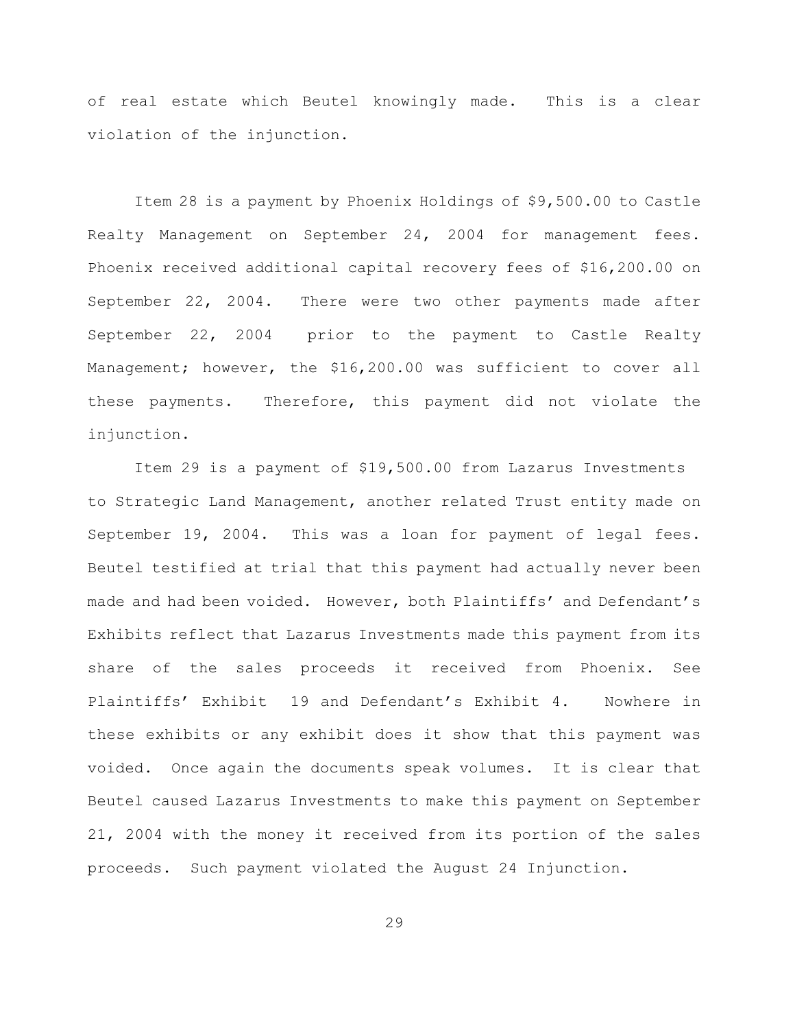of real estate which Beutel knowingly made. This is a clear violation of the injunction.

Item 28 is a payment by Phoenix Holdings of \$9,500.00 to Castle Realty Management on September 24, 2004 for management fees. Phoenix received additional capital recovery fees of \$16,200.00 on September 22, 2004. There were two other payments made after September 22, 2004 prior to the payment to Castle Realty Management; however, the \$16,200.00 was sufficient to cover all these payments. Therefore, this payment did not violate the injunction.

Item 29 is a payment of \$19,500.00 from Lazarus Investments to Strategic Land Management, another related Trust entity made on September 19, 2004. This was a loan for payment of legal fees. Beutel testified at trial that this payment had actually never been made and had been voided. However, both Plaintiffs' and Defendant's Exhibits reflect that Lazarus Investments made this payment from its share of the sales proceeds it received from Phoenix. See Plaintiffs' Exhibit 19 and Defendant's Exhibit 4. Nowhere in these exhibits or any exhibit does it show that this payment was voided. Once again the documents speak volumes. It is clear that Beutel caused Lazarus Investments to make this payment on September 21, 2004 with the money it received from its portion of the sales proceeds. Such payment violated the August 24 Injunction.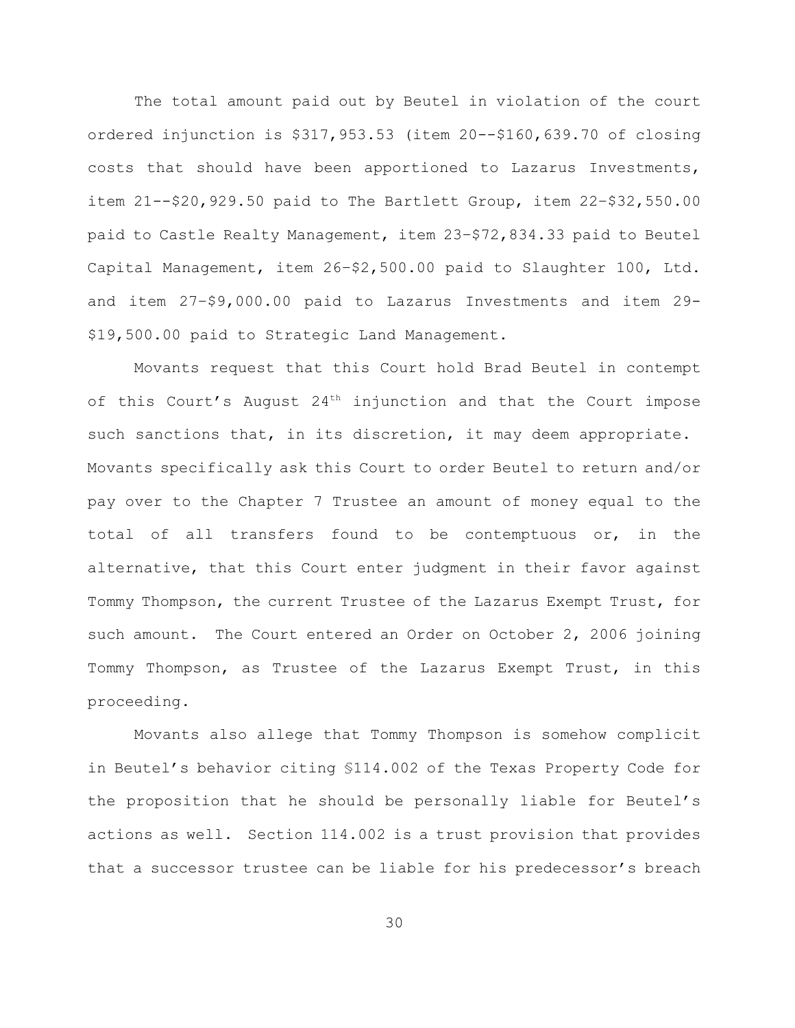The total amount paid out by Beutel in violation of the court ordered injunction is \$317,953.53 (item 20--\$160,639.70 of closing costs that should have been apportioned to Lazarus Investments, item 21--\$20,929.50 paid to The Bartlett Group, item 22–\$32,550.00 paid to Castle Realty Management, item 23–\$72,834.33 paid to Beutel Capital Management, item 26–\$2,500.00 paid to Slaughter 100, Ltd. and item 27–\$9,000.00 paid to Lazarus Investments and item 29- \$19,500.00 paid to Strategic Land Management.

Movants request that this Court hold Brad Beutel in contempt of this Court's August  $24<sup>th</sup>$  injunction and that the Court impose such sanctions that, in its discretion, it may deem appropriate. Movants specifically ask this Court to order Beutel to return and/or pay over to the Chapter 7 Trustee an amount of money equal to the total of all transfers found to be contemptuous or, in the alternative, that this Court enter judgment in their favor against Tommy Thompson, the current Trustee of the Lazarus Exempt Trust, for such amount. The Court entered an Order on October 2, 2006 joining Tommy Thompson, as Trustee of the Lazarus Exempt Trust, in this proceeding.

Movants also allege that Tommy Thompson is somehow complicit in Beutel's behavior citing §114.002 of the Texas Property Code for the proposition that he should be personally liable for Beutel's actions as well. Section 114.002 is a trust provision that provides that a successor trustee can be liable for his predecessor's breach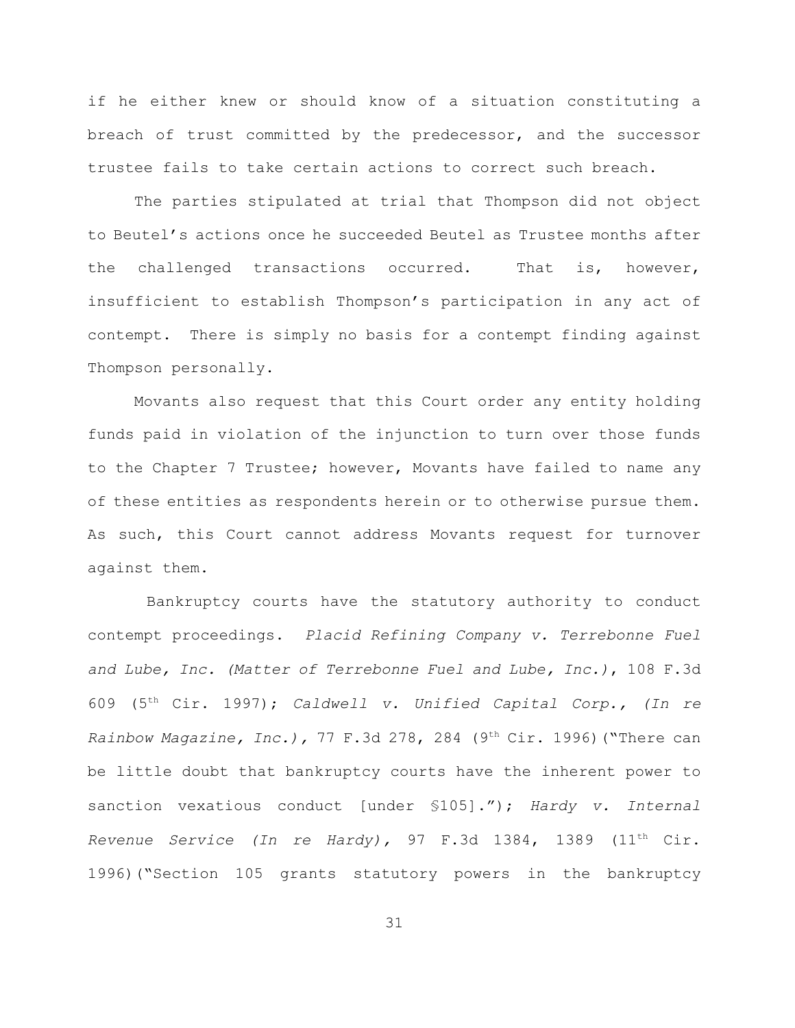if he either knew or should know of a situation constituting a breach of trust committed by the predecessor, and the successor trustee fails to take certain actions to correct such breach.

The parties stipulated at trial that Thompson did not object to Beutel's actions once he succeeded Beutel as Trustee months after the challenged transactions occurred. That is, however, insufficient to establish Thompson's participation in any act of contempt. There is simply no basis for a contempt finding against Thompson personally.

Movants also request that this Court order any entity holding funds paid in violation of the injunction to turn over those funds to the Chapter 7 Trustee; however, Movants have failed to name any of these entities as respondents herein or to otherwise pursue them. As such, this Court cannot address Movants request for turnover against them.

 Bankruptcy courts have the statutory authority to conduct contempt proceedings. *Placid Refining Company v. Terrebonne Fuel and Lube, Inc. (Matter of Terrebonne Fuel and Lube, Inc.)*, 108 F.3d 609 (5 Cir. 1997); *Caldwell v. Unified Capital Corp., (In re* th *Rainbow Magazine, Inc.),* 77 F.3d 278, 284 (9<sup>th</sup> Cir. 1996) ("There can be little doubt that bankruptcy courts have the inherent power to sanction vexatious conduct [under §105]."); *Hardy v. Internal Revenue Service (In re Hardy)*, 97 F.3d 1384, 1389  $(11<sup>th</sup> Cir.$ 1996)("Section 105 grants statutory powers in the bankruptcy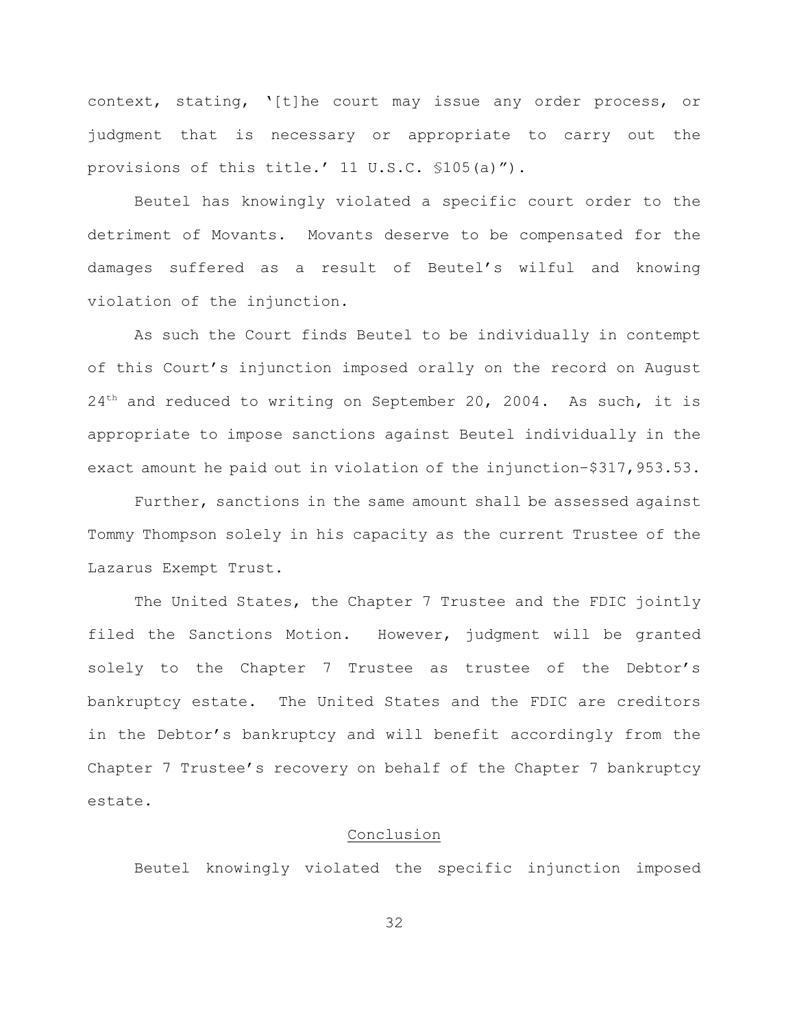context, stating, '[t]he court may issue any order process, or judgment that is necessary or appropriate to carry out the provisions of this title.' 11 U.S.C. §105(a)").

Beutel has knowingly violated a specific court order to the detriment of Movants. Movants deserve to be compensated for the damages suffered as a result of Beutel's wilful and knowing violation of the injunction.

As such the Court finds Beutel to be individually in contempt of this Court's injunction imposed orally on the record on August  $24<sup>th</sup>$  and reduced to writing on September 20, 2004. As such, it is appropriate to impose sanctions against Beutel individually in the exact amount he paid out in violation of the injunction–\$317,953.53.

Further, sanctions in the same amount shall be assessed against Tommy Thompson solely in his capacity as the current Trustee of the Lazarus Exempt Trust.

The United States, the Chapter 7 Trustee and the FDIC jointly filed the Sanctions Motion. However, judgment will be granted solely to the Chapter 7 Trustee as trustee of the Debtor's bankruptcy estate. The United States and the FDIC are creditors in the Debtor's bankruptcy and will benefit accordingly from the Chapter 7 Trustee's recovery on behalf of the Chapter 7 bankruptcy estate.

# Conclusion

Beutel knowingly violated the specific injunction imposed